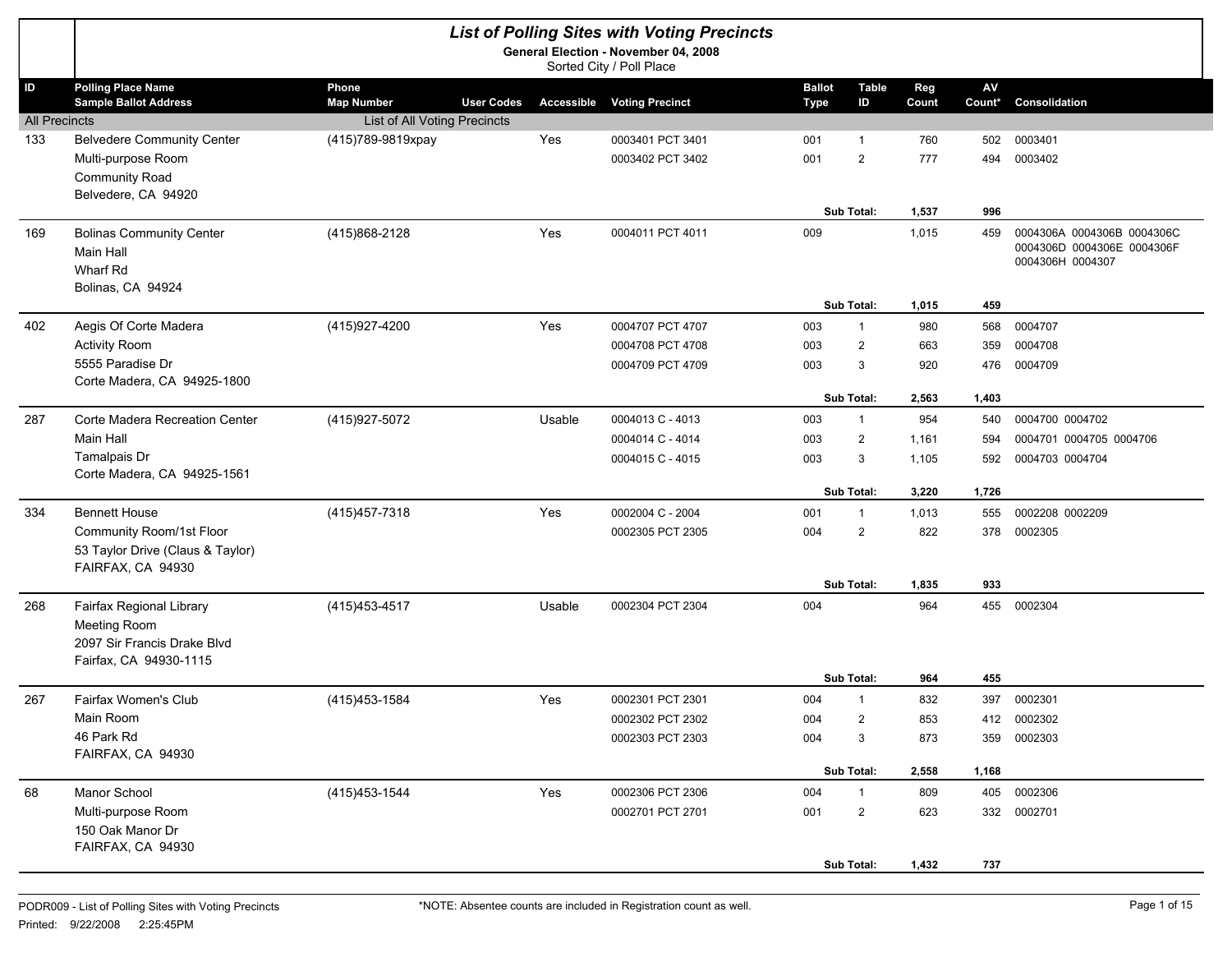|                      |                                                                                                   |                                                 |        | <b>List of Polling Sites with Voting Precincts</b><br>General Election - November 04, 2008 |                              |                                |              |              |                                                                              |
|----------------------|---------------------------------------------------------------------------------------------------|-------------------------------------------------|--------|--------------------------------------------------------------------------------------------|------------------------------|--------------------------------|--------------|--------------|------------------------------------------------------------------------------|
|                      |                                                                                                   |                                                 |        | Sorted City / Poll Place                                                                   |                              |                                |              |              |                                                                              |
| ID                   | <b>Polling Place Name</b><br><b>Sample Ballot Address</b>                                         | Phone<br><b>Map Number</b><br><b>User Codes</b> |        | <b>Accessible Voting Precinct</b>                                                          | <b>Ballot</b><br><b>Type</b> | <b>Table</b><br>ID             | Reg<br>Count | AV<br>Count* | Consolidation                                                                |
| <b>All Precincts</b> |                                                                                                   | List of All Voting Precincts                    | Yes    | 0003401 PCT 3401                                                                           |                              |                                |              |              | 0003401                                                                      |
| 133                  | <b>Belvedere Community Center</b><br>Multi-purpose Room                                           | (415)789-9819xpay                               |        | 0003402 PCT 3402                                                                           | 001<br>001                   | $\mathbf{1}$<br>$\overline{2}$ | 760<br>777   | 502<br>494   | 0003402                                                                      |
|                      | Community Road<br>Belvedere, CA 94920                                                             |                                                 |        |                                                                                            |                              |                                |              |              |                                                                              |
|                      |                                                                                                   |                                                 |        |                                                                                            |                              | Sub Total:                     | 1,537        | 996          |                                                                              |
| 169                  | <b>Bolinas Community Center</b><br><b>Main Hall</b><br>Wharf Rd<br>Bolinas, CA 94924              | (415)868-2128                                   | Yes    | 0004011 PCT 4011                                                                           | 009                          |                                | 1,015        | 459          | 0004306A 0004306B 0004306C<br>0004306D 0004306E 0004306F<br>0004306H 0004307 |
|                      |                                                                                                   |                                                 |        |                                                                                            |                              | Sub Total:                     | 1,015        | 459          |                                                                              |
| 402                  | Aegis Of Corte Madera                                                                             | (415) 927-4200                                  | Yes    | 0004707 PCT 4707                                                                           | 003                          | $\mathbf{1}$                   | 980          | 568          | 0004707                                                                      |
|                      | <b>Activity Room</b>                                                                              |                                                 |        | 0004708 PCT 4708                                                                           | 003                          | $\overline{2}$                 | 663          | 359          | 0004708                                                                      |
|                      | 5555 Paradise Dr                                                                                  |                                                 |        | 0004709 PCT 4709                                                                           | 003                          | 3                              | 920          | 476          | 0004709                                                                      |
|                      | Corte Madera, CA 94925-1800                                                                       |                                                 |        |                                                                                            |                              | Sub Total:                     | 2,563        | 1,403        |                                                                              |
| 287                  | Corte Madera Recreation Center                                                                    | (415) 927-5072                                  | Usable | 0004013 C - 4013                                                                           | 003                          | $\mathbf{1}$                   | 954          | 540          | 0004700 0004702                                                              |
|                      | <b>Main Hall</b>                                                                                  |                                                 |        | 0004014 C - 4014                                                                           | 003                          | $\overline{2}$                 | 1,161        | 594          | 0004701 0004705 0004706                                                      |
|                      | Tamalpais Dr                                                                                      |                                                 |        | 0004015 C - 4015                                                                           | 003                          | 3                              | 1,105        | 592          | 0004703 0004704                                                              |
|                      | Corte Madera, CA 94925-1561                                                                       |                                                 |        |                                                                                            |                              |                                |              |              |                                                                              |
|                      |                                                                                                   |                                                 |        |                                                                                            |                              | Sub Total:                     | 3,220        | 1,726        |                                                                              |
| 334                  | <b>Bennett House</b>                                                                              | (415) 457-7318                                  | Yes    | 0002004 C - 2004                                                                           | 001                          | $\mathbf{1}$                   | 1,013        | 555          | 0002208 0002209                                                              |
|                      | Community Room/1st Floor<br>53 Taylor Drive (Claus & Taylor)<br>FAIRFAX, CA 94930                 |                                                 |        | 0002305 PCT 2305                                                                           | 004                          | $\overline{2}$                 | 822          | 378          | 0002305                                                                      |
|                      |                                                                                                   |                                                 |        |                                                                                            |                              | Sub Total:                     | 1,835        | 933          |                                                                              |
| 268                  | Fairfax Regional Library<br>Meeting Room<br>2097 Sir Francis Drake Blvd<br>Fairfax, CA 94930-1115 | (415) 453-4517                                  | Usable | 0002304 PCT 2304                                                                           | 004                          |                                | 964          | 455          | 0002304                                                                      |
|                      |                                                                                                   |                                                 |        |                                                                                            |                              | Sub Total:                     | 964          | 455          |                                                                              |
| 267                  | Fairfax Women's Club                                                                              | (415) 453-1584                                  | Yes    | 0002301 PCT 2301                                                                           | 004                          | $\mathbf{1}$                   | 832          | 397          | 0002301                                                                      |
|                      | Main Room                                                                                         |                                                 |        | 0002302 PCT 2302                                                                           | 004                          | $\overline{2}$                 | 853          | 412          | 0002302                                                                      |
|                      | 46 Park Rd<br>FAIRFAX, CA 94930                                                                   |                                                 |        | 0002303 PCT 2303                                                                           | 004                          | 3                              | 873          | 359          | 0002303                                                                      |
|                      |                                                                                                   |                                                 |        |                                                                                            |                              | Sub Total:                     | 2,558        | 1,168        |                                                                              |
| 68                   | Manor School                                                                                      | (415) 453-1544                                  | Yes    | 0002306 PCT 2306                                                                           | 004                          | $\mathbf{1}$                   | 809          | 405          | 0002306                                                                      |
|                      | Multi-purpose Room<br>150 Oak Manor Dr<br>FAIRFAX, CA 94930                                       |                                                 |        | 0002701 PCT 2701                                                                           | 001                          | $\overline{2}$                 | 623          |              | 332 0002701                                                                  |
|                      |                                                                                                   |                                                 |        |                                                                                            |                              | Sub Total:                     | 1,432        | 737          |                                                                              |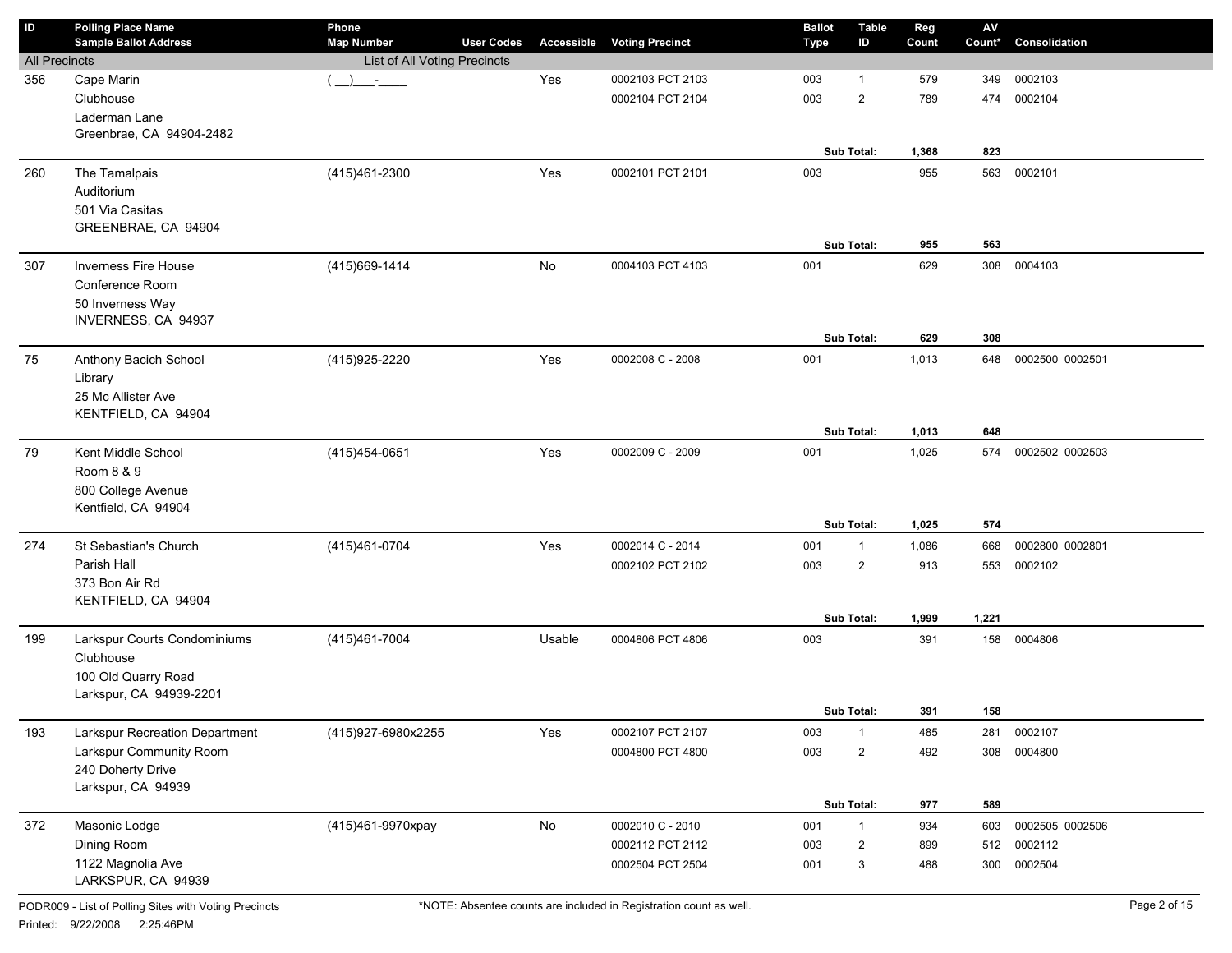| ID                   | <b>Polling Place Name</b><br><b>Sample Ballot Address</b> | Phone<br><b>Map Number</b>   | <b>User Codes</b> |        | <b>Accessible Voting Precinct</b> | <b>Ballot</b><br><b>Type</b> | <b>Table</b><br>ID | Reg<br>Count | $\mathsf{A}\mathsf{V}$<br>Count* | Consolidation   |
|----------------------|-----------------------------------------------------------|------------------------------|-------------------|--------|-----------------------------------|------------------------------|--------------------|--------------|----------------------------------|-----------------|
| <b>All Precincts</b> |                                                           | List of All Voting Precincts |                   |        |                                   |                              |                    |              |                                  |                 |
| 356                  | Cape Marin                                                | $\mathcal{L}$                |                   | Yes    | 0002103 PCT 2103                  | 003                          | $\mathbf{1}$       | 579          | 349                              | 0002103         |
|                      | Clubhouse                                                 |                              |                   |        | 0002104 PCT 2104                  | 003                          | $\overline{2}$     | 789          | 474                              | 0002104         |
|                      | Laderman Lane                                             |                              |                   |        |                                   |                              |                    |              |                                  |                 |
|                      | Greenbrae, CA 94904-2482                                  |                              |                   |        |                                   |                              |                    |              |                                  |                 |
|                      |                                                           |                              |                   |        |                                   |                              | Sub Total:         | 1,368        | 823                              |                 |
| 260                  | The Tamalpais                                             | (415)461-2300                |                   | Yes    | 0002101 PCT 2101                  | 003                          |                    | 955          | 563                              | 0002101         |
|                      | Auditorium                                                |                              |                   |        |                                   |                              |                    |              |                                  |                 |
|                      | 501 Via Casitas                                           |                              |                   |        |                                   |                              |                    |              |                                  |                 |
|                      | GREENBRAE, CA 94904                                       |                              |                   |        |                                   |                              | Sub Total:         | 955          | 563                              |                 |
|                      |                                                           |                              |                   |        |                                   |                              |                    |              |                                  |                 |
| 307                  | <b>Inverness Fire House</b><br>Conference Room            | (415) 669-1414               |                   | No     | 0004103 PCT 4103                  | 001                          |                    | 629          | 308                              | 0004103         |
|                      | 50 Inverness Way                                          |                              |                   |        |                                   |                              |                    |              |                                  |                 |
|                      | INVERNESS, CA 94937                                       |                              |                   |        |                                   |                              |                    |              |                                  |                 |
|                      |                                                           |                              |                   |        |                                   |                              | Sub Total:         | 629          | 308                              |                 |
| 75                   | Anthony Bacich School                                     | (415) 925-2220               |                   | Yes    | 0002008 C - 2008                  | 001                          |                    | 1,013        | 648                              | 0002500 0002501 |
|                      | Library                                                   |                              |                   |        |                                   |                              |                    |              |                                  |                 |
|                      | 25 Mc Allister Ave                                        |                              |                   |        |                                   |                              |                    |              |                                  |                 |
|                      | KENTFIELD, CA 94904                                       |                              |                   |        |                                   |                              |                    |              |                                  |                 |
|                      |                                                           |                              |                   |        |                                   |                              | Sub Total:         | 1,013        | 648                              |                 |
| 79                   | Kent Middle School                                        | (415)454-0651                |                   | Yes    | 0002009 C - 2009                  | 001                          |                    | 1,025        | 574                              | 0002502 0002503 |
|                      | Room 8 & 9                                                |                              |                   |        |                                   |                              |                    |              |                                  |                 |
|                      | 800 College Avenue                                        |                              |                   |        |                                   |                              |                    |              |                                  |                 |
|                      | Kentfield, CA 94904                                       |                              |                   |        |                                   |                              |                    |              |                                  |                 |
|                      |                                                           |                              |                   |        |                                   |                              | Sub Total:         | 1,025        | 574                              |                 |
| 274                  | St Sebastian's Church                                     | (415)461-0704                |                   | Yes    | 0002014 C - 2014                  | 001                          | $\mathbf{1}$       | 1,086        | 668                              | 0002800 0002801 |
|                      | Parish Hall                                               |                              |                   |        | 0002102 PCT 2102                  | 003                          | $\overline{2}$     | 913          | 553                              | 0002102         |
|                      | 373 Bon Air Rd                                            |                              |                   |        |                                   |                              |                    |              |                                  |                 |
|                      | KENTFIELD, CA 94904                                       |                              |                   |        |                                   |                              |                    |              |                                  |                 |
|                      |                                                           |                              |                   |        |                                   |                              | Sub Total:         | 1,999        | 1,221                            |                 |
| 199                  | Larkspur Courts Condominiums                              | (415) 461-7004               |                   | Usable | 0004806 PCT 4806                  | 003                          |                    | 391          |                                  | 158 0004806     |
|                      | Clubhouse                                                 |                              |                   |        |                                   |                              |                    |              |                                  |                 |
|                      | 100 Old Quarry Road                                       |                              |                   |        |                                   |                              |                    |              |                                  |                 |
|                      | Larkspur, CA 94939-2201                                   |                              |                   |        |                                   |                              | Sub Total:         | 391          | 158                              |                 |
|                      |                                                           |                              |                   |        |                                   |                              |                    |              |                                  |                 |
| 193                  | Larkspur Recreation Department                            | (415)927-6980x2255           |                   | Yes    | 0002107 PCT 2107                  | 003                          | $\mathbf{1}$       | 485          | 281                              | 0002107         |
|                      | Larkspur Community Room                                   |                              |                   |        | 0004800 PCT 4800                  | 003                          | $\overline{2}$     | 492          | 308                              | 0004800         |
|                      | 240 Doherty Drive<br>Larkspur, CA 94939                   |                              |                   |        |                                   |                              |                    |              |                                  |                 |
|                      |                                                           |                              |                   |        |                                   |                              | Sub Total:         | 977          | 589                              |                 |
| 372                  | Masonic Lodge                                             | (415)461-9970xpay            |                   | No     | 0002010 C - 2010                  | 001                          | $\mathbf{1}$       | 934          | 603                              | 0002505 0002506 |
|                      | Dining Room                                               |                              |                   |        | 0002112 PCT 2112                  | 003                          | $\overline{2}$     | 899          | 512                              | 0002112         |
|                      | 1122 Magnolia Ave                                         |                              |                   |        | 0002504 PCT 2504                  | 001                          | 3                  | 488          | 300                              | 0002504         |
|                      | LARKSPUR, CA 94939                                        |                              |                   |        |                                   |                              |                    |              |                                  |                 |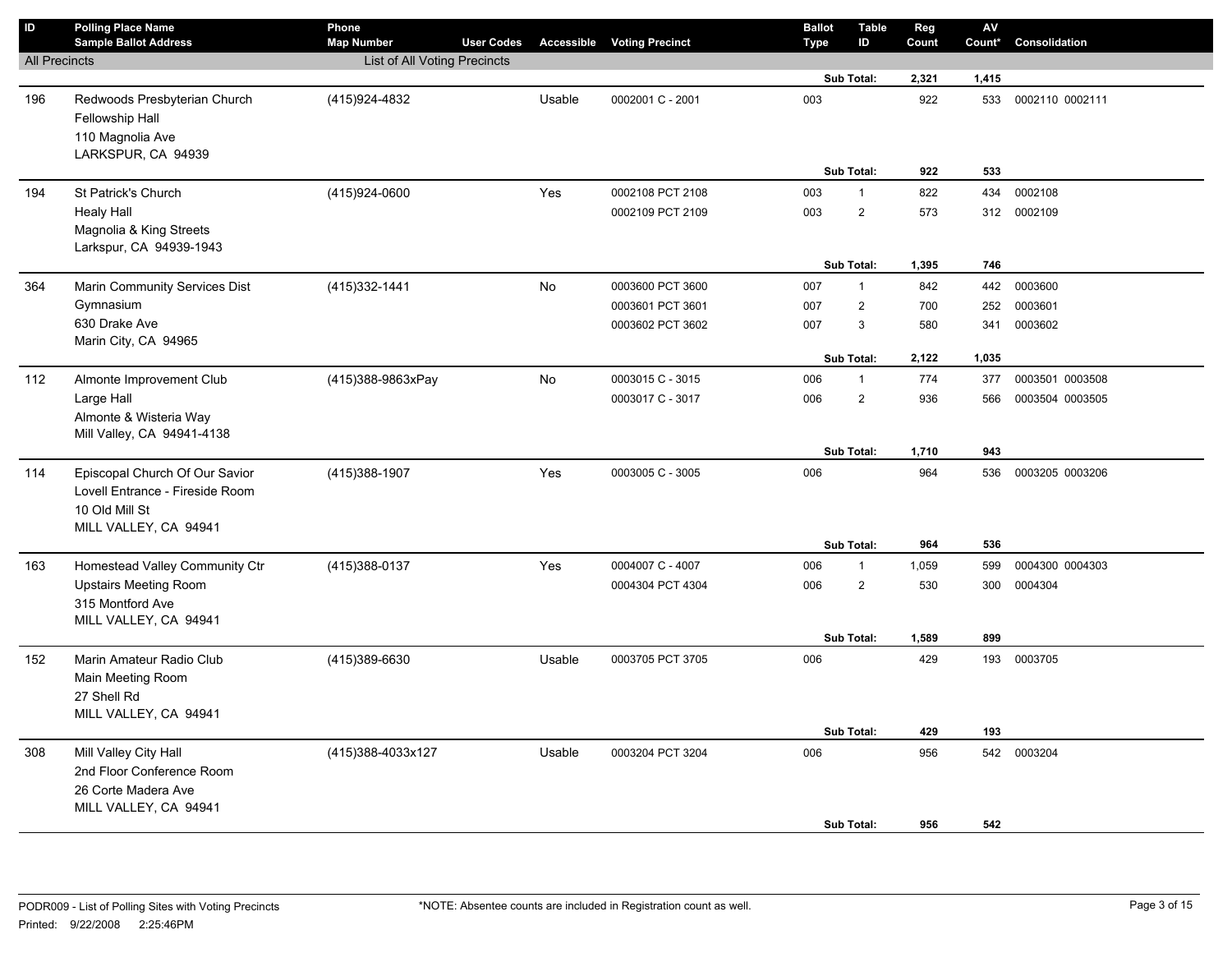| $\overline{D}$       | <b>Polling Place Name</b><br><b>Sample Ballot Address</b>                                                    | Phone<br><b>Map Number</b>   | <b>User Codes</b> | <b>Accessible</b> | <b>Voting Precinct</b>                                   | <b>Ballot</b><br>Type | <b>Table</b><br>ID                  | Reg<br>Count      | ${\sf AV}$<br>Count* | Consolidation                 |
|----------------------|--------------------------------------------------------------------------------------------------------------|------------------------------|-------------------|-------------------|----------------------------------------------------------|-----------------------|-------------------------------------|-------------------|----------------------|-------------------------------|
| <b>All Precincts</b> |                                                                                                              | List of All Voting Precincts |                   |                   |                                                          |                       |                                     |                   |                      |                               |
|                      |                                                                                                              |                              |                   |                   |                                                          |                       | Sub Total:                          | 2,321             | 1,415                |                               |
| 196                  | Redwoods Presbyterian Church<br>Fellowship Hall<br>110 Magnolia Ave<br>LARKSPUR, CA 94939                    | (415) 924-4832               |                   | Usable            | 0002001 C - 2001                                         | 003                   |                                     | 922               | 533                  | 0002110 0002111               |
|                      |                                                                                                              |                              |                   |                   |                                                          |                       | Sub Total:                          | 922               | 533                  |                               |
| 194                  | St Patrick's Church<br><b>Healy Hall</b><br>Magnolia & King Streets<br>Larkspur, CA 94939-1943               | (415)924-0600                |                   | Yes               | 0002108 PCT 2108<br>0002109 PCT 2109                     | 003<br>003            | $\mathbf{1}$<br>$\overline{2}$      | 822<br>573        | 434                  | 0002108<br>312 0002109        |
|                      |                                                                                                              |                              |                   |                   |                                                          |                       | Sub Total:                          | 1,395             | 746                  |                               |
| 364                  | Marin Community Services Dist<br>Gymnasium<br>630 Drake Ave<br>Marin City, CA 94965                          | (415) 332-1441               |                   | No                | 0003600 PCT 3600<br>0003601 PCT 3601<br>0003602 PCT 3602 | 007<br>007<br>007     | $\mathbf{1}$<br>$\overline{2}$<br>3 | 842<br>700<br>580 | 442<br>252<br>341    | 0003600<br>0003601<br>0003602 |
|                      |                                                                                                              |                              |                   | No                | 0003015 C - 3015                                         | 006                   | <b>Sub Total:</b><br>$\mathbf{1}$   | 2,122<br>774      | 1,035<br>377         | 0003501 0003508               |
| 112                  | Almonte Improvement Club<br>Large Hall<br>Almonte & Wisteria Way<br>Mill Valley, CA 94941-4138               | (415)388-9863xPay            |                   |                   | 0003017 C - 3017                                         | 006                   | $\overline{2}$                      | 936               | 566                  | 0003504 0003505               |
|                      |                                                                                                              |                              |                   |                   |                                                          |                       | Sub Total:                          | 1,710             | 943                  |                               |
| 114                  | Episcopal Church Of Our Savior<br>Lovell Entrance - Fireside Room<br>10 Old Mill St<br>MILL VALLEY, CA 94941 | (415)388-1907                |                   | Yes               | 0003005 C - 3005                                         | 006                   | Sub Total:                          | 964<br>964        | 536<br>536           | 0003205 0003206               |
| 163                  | Homestead Valley Community Ctr                                                                               | (415) 388-0137               |                   | Yes               | 0004007 C - 4007                                         | 006                   | $\mathbf{1}$                        | 1,059             | 599                  | 0004300 0004303               |
|                      | <b>Upstairs Meeting Room</b><br>315 Montford Ave<br>MILL VALLEY, CA 94941                                    |                              |                   |                   | 0004304 PCT 4304                                         | 006                   | $\overline{\mathbf{c}}$             | 530<br>1,589      | 300<br>899           | 0004304                       |
| 152                  | Marin Amateur Radio Club<br>Main Meeting Room                                                                | (415)389-6630                |                   | Usable            | 0003705 PCT 3705                                         | 006                   | Sub Total:                          | 429               |                      | 193 0003705                   |
|                      | 27 Shell Rd<br>MILL VALLEY, CA 94941                                                                         |                              |                   |                   |                                                          |                       | Sub Total:                          | 429               | 193                  |                               |
| 308                  | Mill Valley City Hall<br>2nd Floor Conference Room<br>26 Corte Madera Ave<br>MILL VALLEY, CA 94941           | (415)388-4033x127            |                   | Usable            | 0003204 PCT 3204                                         | 006                   |                                     | 956               |                      | 542 0003204                   |
|                      |                                                                                                              |                              |                   |                   |                                                          |                       | <b>Sub Total:</b>                   | 956               | 542                  |                               |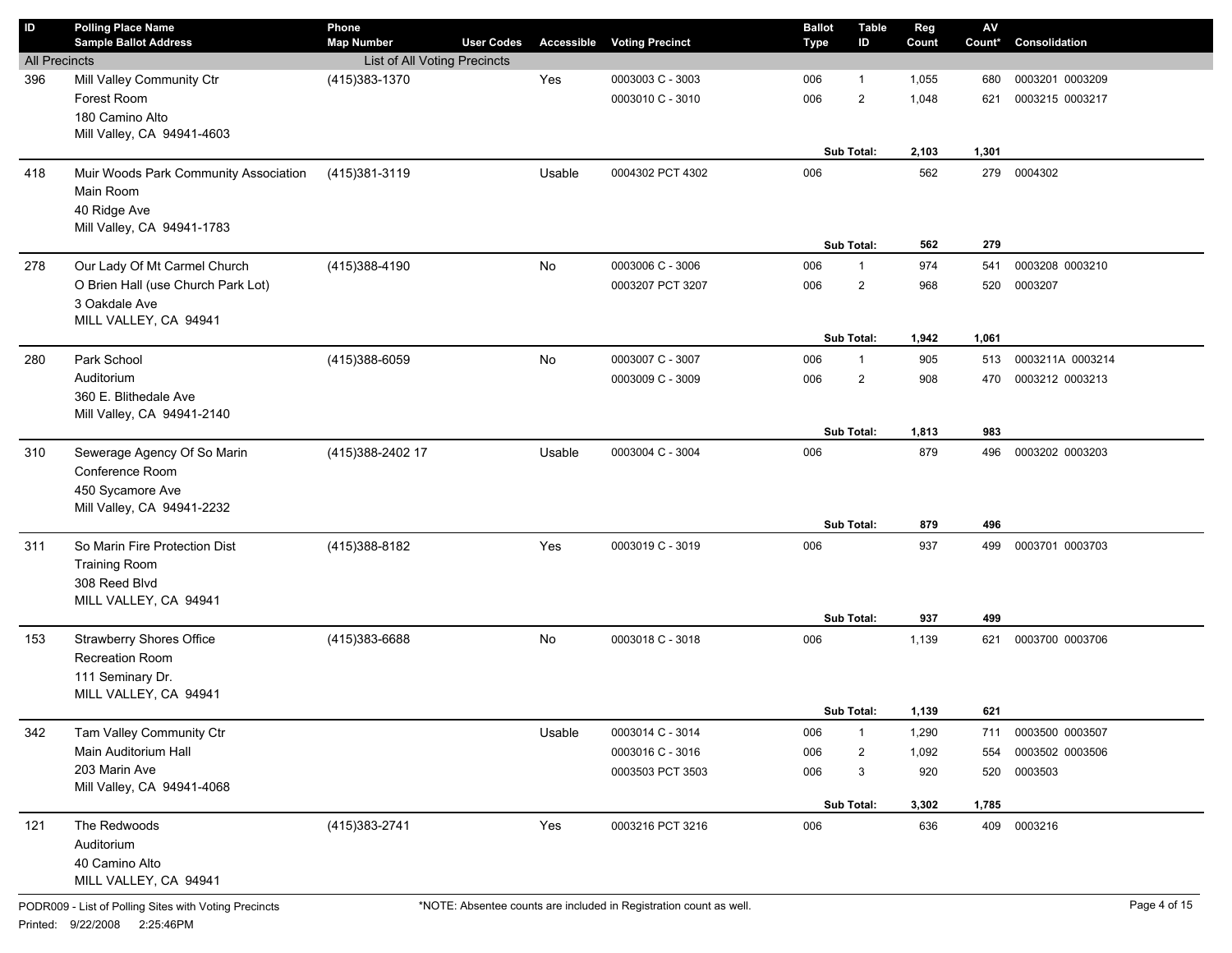| <b>All Precincts</b><br>List of All Voting Precincts<br>Mill Valley Community Ctr<br>(415) 383-1370<br>Yes<br>0003003 C - 3003<br>0003201 0003209<br>006<br>1,055<br>1<br>680<br>Forest Room<br>0003010 C - 3010<br>006<br>$\overline{2}$<br>0003215 0003217<br>1,048<br>621<br>180 Camino Alto<br>Mill Valley, CA 94941-4603<br>Sub Total:<br>1,301<br>2,103<br>Muir Woods Park Community Association<br>(415)381-3119<br>Usable<br>0004302 PCT 4302<br>006<br>562<br>279<br>0004302<br>Main Room<br>40 Ridge Ave<br>Mill Valley, CA 94941-1783<br>Sub Total:<br>562<br>279<br>Our Lady Of Mt Carmel Church<br>No<br>(415) 388-4190<br>0003006 C - 3006<br>006<br>974<br>0003208 0003210<br>$\mathbf{1}$<br>541<br>O Brien Hall (use Church Park Lot)<br>0003207 PCT 3207<br>006<br>$\overline{2}$<br>968<br>0003207<br>520<br>3 Oakdale Ave<br>MILL VALLEY, CA 94941<br>1,942<br>1,061<br>Sub Total:<br>Park School<br>(415)388-6059<br>No<br>280<br>0003007 C - 3007<br>905<br>0003211A 0003214<br>006<br>1<br>513<br>Auditorium<br>0003009 C - 3009<br>$\overline{2}$<br>908<br>0003212 0003213<br>006<br>470<br>360 E. Blithedale Ave<br>Mill Valley, CA 94941-2140<br>Sub Total:<br>1,813<br>983<br>Sewerage Agency Of So Marin<br>(415) 388-2402 17<br>Usable<br>0003004 C - 3004<br>006<br>879<br>0003202 0003203<br>496<br>Conference Room<br>450 Sycamore Ave<br>Mill Valley, CA 94941-2232<br>Sub Total:<br>496<br>879<br>So Marin Fire Protection Dist<br>Yes<br>(415) 388-8182<br>0003019 C - 3019<br>006<br>937<br>0003701 0003703<br>499<br><b>Training Room</b><br>308 Reed Blvd<br>MILL VALLEY, CA 94941<br>Sub Total:<br>937<br>499<br><b>Strawberry Shores Office</b><br>No<br>(415)383-6688<br>0003018 C - 3018<br>0003700 0003706<br>006<br>1,139<br>621<br>Recreation Room<br>111 Seminary Dr.<br>MILL VALLEY, CA 94941<br>Sub Total:<br>1,139<br>621<br>Tam Valley Community Ctr<br>Usable<br>0003014 C - 3014<br>006<br>$\mathbf{1}$<br>1,290<br>0003500 0003507<br>711<br>Main Auditorium Hall<br>0003016 C - 3016<br>0003502 0003506<br>006<br>2<br>1,092<br>554<br>203 Marin Ave<br>3<br>0003503<br>0003503 PCT 3503<br>006<br>920<br>520<br>Mill Valley, CA 94941-4068<br>Sub Total:<br>3,302<br>1,785<br>(415) 383-2741<br>Yes<br>0003216 PCT 3216<br>409 0003216<br>The Redwoods<br>006<br>636<br>121<br>Auditorium | $\mathsf{ID}$ | <b>Polling Place Name</b><br><b>Sample Ballot Address</b> | Phone<br><b>Map Number</b> | <b>User Codes</b> | Accessible | <b>Voting Precinct</b> | <b>Ballot</b><br><b>Type</b> | <b>Table</b><br>ID | Reg<br>Count | $\mathsf{AV}$<br>Count* | Consolidation |
|---------------------------------------------------------------------------------------------------------------------------------------------------------------------------------------------------------------------------------------------------------------------------------------------------------------------------------------------------------------------------------------------------------------------------------------------------------------------------------------------------------------------------------------------------------------------------------------------------------------------------------------------------------------------------------------------------------------------------------------------------------------------------------------------------------------------------------------------------------------------------------------------------------------------------------------------------------------------------------------------------------------------------------------------------------------------------------------------------------------------------------------------------------------------------------------------------------------------------------------------------------------------------------------------------------------------------------------------------------------------------------------------------------------------------------------------------------------------------------------------------------------------------------------------------------------------------------------------------------------------------------------------------------------------------------------------------------------------------------------------------------------------------------------------------------------------------------------------------------------------------------------------------------------------------------------------------------------------------------------------------------------------------------------------------------------------------------------------------------------------------------------------------------------------------------------------------------------------------------------------------------------------------------------------------------------------------------------------------|---------------|-----------------------------------------------------------|----------------------------|-------------------|------------|------------------------|------------------------------|--------------------|--------------|-------------------------|---------------|
|                                                                                                                                                                                                                                                                                                                                                                                                                                                                                                                                                                                                                                                                                                                                                                                                                                                                                                                                                                                                                                                                                                                                                                                                                                                                                                                                                                                                                                                                                                                                                                                                                                                                                                                                                                                                                                                                                                                                                                                                                                                                                                                                                                                                                                                                                                                                                   |               |                                                           |                            |                   |            |                        |                              |                    |              |                         |               |
|                                                                                                                                                                                                                                                                                                                                                                                                                                                                                                                                                                                                                                                                                                                                                                                                                                                                                                                                                                                                                                                                                                                                                                                                                                                                                                                                                                                                                                                                                                                                                                                                                                                                                                                                                                                                                                                                                                                                                                                                                                                                                                                                                                                                                                                                                                                                                   | 396           |                                                           |                            |                   |            |                        |                              |                    |              |                         |               |
|                                                                                                                                                                                                                                                                                                                                                                                                                                                                                                                                                                                                                                                                                                                                                                                                                                                                                                                                                                                                                                                                                                                                                                                                                                                                                                                                                                                                                                                                                                                                                                                                                                                                                                                                                                                                                                                                                                                                                                                                                                                                                                                                                                                                                                                                                                                                                   |               |                                                           |                            |                   |            |                        |                              |                    |              |                         |               |
|                                                                                                                                                                                                                                                                                                                                                                                                                                                                                                                                                                                                                                                                                                                                                                                                                                                                                                                                                                                                                                                                                                                                                                                                                                                                                                                                                                                                                                                                                                                                                                                                                                                                                                                                                                                                                                                                                                                                                                                                                                                                                                                                                                                                                                                                                                                                                   |               |                                                           |                            |                   |            |                        |                              |                    |              |                         |               |
|                                                                                                                                                                                                                                                                                                                                                                                                                                                                                                                                                                                                                                                                                                                                                                                                                                                                                                                                                                                                                                                                                                                                                                                                                                                                                                                                                                                                                                                                                                                                                                                                                                                                                                                                                                                                                                                                                                                                                                                                                                                                                                                                                                                                                                                                                                                                                   |               |                                                           |                            |                   |            |                        |                              |                    |              |                         |               |
|                                                                                                                                                                                                                                                                                                                                                                                                                                                                                                                                                                                                                                                                                                                                                                                                                                                                                                                                                                                                                                                                                                                                                                                                                                                                                                                                                                                                                                                                                                                                                                                                                                                                                                                                                                                                                                                                                                                                                                                                                                                                                                                                                                                                                                                                                                                                                   |               |                                                           |                            |                   |            |                        |                              |                    |              |                         |               |
|                                                                                                                                                                                                                                                                                                                                                                                                                                                                                                                                                                                                                                                                                                                                                                                                                                                                                                                                                                                                                                                                                                                                                                                                                                                                                                                                                                                                                                                                                                                                                                                                                                                                                                                                                                                                                                                                                                                                                                                                                                                                                                                                                                                                                                                                                                                                                   | 418           |                                                           |                            |                   |            |                        |                              |                    |              |                         |               |
|                                                                                                                                                                                                                                                                                                                                                                                                                                                                                                                                                                                                                                                                                                                                                                                                                                                                                                                                                                                                                                                                                                                                                                                                                                                                                                                                                                                                                                                                                                                                                                                                                                                                                                                                                                                                                                                                                                                                                                                                                                                                                                                                                                                                                                                                                                                                                   |               |                                                           |                            |                   |            |                        |                              |                    |              |                         |               |
|                                                                                                                                                                                                                                                                                                                                                                                                                                                                                                                                                                                                                                                                                                                                                                                                                                                                                                                                                                                                                                                                                                                                                                                                                                                                                                                                                                                                                                                                                                                                                                                                                                                                                                                                                                                                                                                                                                                                                                                                                                                                                                                                                                                                                                                                                                                                                   |               |                                                           |                            |                   |            |                        |                              |                    |              |                         |               |
|                                                                                                                                                                                                                                                                                                                                                                                                                                                                                                                                                                                                                                                                                                                                                                                                                                                                                                                                                                                                                                                                                                                                                                                                                                                                                                                                                                                                                                                                                                                                                                                                                                                                                                                                                                                                                                                                                                                                                                                                                                                                                                                                                                                                                                                                                                                                                   |               |                                                           |                            |                   |            |                        |                              |                    |              |                         |               |
|                                                                                                                                                                                                                                                                                                                                                                                                                                                                                                                                                                                                                                                                                                                                                                                                                                                                                                                                                                                                                                                                                                                                                                                                                                                                                                                                                                                                                                                                                                                                                                                                                                                                                                                                                                                                                                                                                                                                                                                                                                                                                                                                                                                                                                                                                                                                                   |               |                                                           |                            |                   |            |                        |                              |                    |              |                         |               |
|                                                                                                                                                                                                                                                                                                                                                                                                                                                                                                                                                                                                                                                                                                                                                                                                                                                                                                                                                                                                                                                                                                                                                                                                                                                                                                                                                                                                                                                                                                                                                                                                                                                                                                                                                                                                                                                                                                                                                                                                                                                                                                                                                                                                                                                                                                                                                   | 278           |                                                           |                            |                   |            |                        |                              |                    |              |                         |               |
|                                                                                                                                                                                                                                                                                                                                                                                                                                                                                                                                                                                                                                                                                                                                                                                                                                                                                                                                                                                                                                                                                                                                                                                                                                                                                                                                                                                                                                                                                                                                                                                                                                                                                                                                                                                                                                                                                                                                                                                                                                                                                                                                                                                                                                                                                                                                                   |               |                                                           |                            |                   |            |                        |                              |                    |              |                         |               |
|                                                                                                                                                                                                                                                                                                                                                                                                                                                                                                                                                                                                                                                                                                                                                                                                                                                                                                                                                                                                                                                                                                                                                                                                                                                                                                                                                                                                                                                                                                                                                                                                                                                                                                                                                                                                                                                                                                                                                                                                                                                                                                                                                                                                                                                                                                                                                   |               |                                                           |                            |                   |            |                        |                              |                    |              |                         |               |
|                                                                                                                                                                                                                                                                                                                                                                                                                                                                                                                                                                                                                                                                                                                                                                                                                                                                                                                                                                                                                                                                                                                                                                                                                                                                                                                                                                                                                                                                                                                                                                                                                                                                                                                                                                                                                                                                                                                                                                                                                                                                                                                                                                                                                                                                                                                                                   |               |                                                           |                            |                   |            |                        |                              |                    |              |                         |               |
|                                                                                                                                                                                                                                                                                                                                                                                                                                                                                                                                                                                                                                                                                                                                                                                                                                                                                                                                                                                                                                                                                                                                                                                                                                                                                                                                                                                                                                                                                                                                                                                                                                                                                                                                                                                                                                                                                                                                                                                                                                                                                                                                                                                                                                                                                                                                                   |               |                                                           |                            |                   |            |                        |                              |                    |              |                         |               |
|                                                                                                                                                                                                                                                                                                                                                                                                                                                                                                                                                                                                                                                                                                                                                                                                                                                                                                                                                                                                                                                                                                                                                                                                                                                                                                                                                                                                                                                                                                                                                                                                                                                                                                                                                                                                                                                                                                                                                                                                                                                                                                                                                                                                                                                                                                                                                   |               |                                                           |                            |                   |            |                        |                              |                    |              |                         |               |
|                                                                                                                                                                                                                                                                                                                                                                                                                                                                                                                                                                                                                                                                                                                                                                                                                                                                                                                                                                                                                                                                                                                                                                                                                                                                                                                                                                                                                                                                                                                                                                                                                                                                                                                                                                                                                                                                                                                                                                                                                                                                                                                                                                                                                                                                                                                                                   |               |                                                           |                            |                   |            |                        |                              |                    |              |                         |               |
|                                                                                                                                                                                                                                                                                                                                                                                                                                                                                                                                                                                                                                                                                                                                                                                                                                                                                                                                                                                                                                                                                                                                                                                                                                                                                                                                                                                                                                                                                                                                                                                                                                                                                                                                                                                                                                                                                                                                                                                                                                                                                                                                                                                                                                                                                                                                                   |               |                                                           |                            |                   |            |                        |                              |                    |              |                         |               |
|                                                                                                                                                                                                                                                                                                                                                                                                                                                                                                                                                                                                                                                                                                                                                                                                                                                                                                                                                                                                                                                                                                                                                                                                                                                                                                                                                                                                                                                                                                                                                                                                                                                                                                                                                                                                                                                                                                                                                                                                                                                                                                                                                                                                                                                                                                                                                   |               |                                                           |                            |                   |            |                        |                              |                    |              |                         |               |
|                                                                                                                                                                                                                                                                                                                                                                                                                                                                                                                                                                                                                                                                                                                                                                                                                                                                                                                                                                                                                                                                                                                                                                                                                                                                                                                                                                                                                                                                                                                                                                                                                                                                                                                                                                                                                                                                                                                                                                                                                                                                                                                                                                                                                                                                                                                                                   | 310           |                                                           |                            |                   |            |                        |                              |                    |              |                         |               |
|                                                                                                                                                                                                                                                                                                                                                                                                                                                                                                                                                                                                                                                                                                                                                                                                                                                                                                                                                                                                                                                                                                                                                                                                                                                                                                                                                                                                                                                                                                                                                                                                                                                                                                                                                                                                                                                                                                                                                                                                                                                                                                                                                                                                                                                                                                                                                   |               |                                                           |                            |                   |            |                        |                              |                    |              |                         |               |
|                                                                                                                                                                                                                                                                                                                                                                                                                                                                                                                                                                                                                                                                                                                                                                                                                                                                                                                                                                                                                                                                                                                                                                                                                                                                                                                                                                                                                                                                                                                                                                                                                                                                                                                                                                                                                                                                                                                                                                                                                                                                                                                                                                                                                                                                                                                                                   |               |                                                           |                            |                   |            |                        |                              |                    |              |                         |               |
|                                                                                                                                                                                                                                                                                                                                                                                                                                                                                                                                                                                                                                                                                                                                                                                                                                                                                                                                                                                                                                                                                                                                                                                                                                                                                                                                                                                                                                                                                                                                                                                                                                                                                                                                                                                                                                                                                                                                                                                                                                                                                                                                                                                                                                                                                                                                                   |               |                                                           |                            |                   |            |                        |                              |                    |              |                         |               |
|                                                                                                                                                                                                                                                                                                                                                                                                                                                                                                                                                                                                                                                                                                                                                                                                                                                                                                                                                                                                                                                                                                                                                                                                                                                                                                                                                                                                                                                                                                                                                                                                                                                                                                                                                                                                                                                                                                                                                                                                                                                                                                                                                                                                                                                                                                                                                   |               |                                                           |                            |                   |            |                        |                              |                    |              |                         |               |
|                                                                                                                                                                                                                                                                                                                                                                                                                                                                                                                                                                                                                                                                                                                                                                                                                                                                                                                                                                                                                                                                                                                                                                                                                                                                                                                                                                                                                                                                                                                                                                                                                                                                                                                                                                                                                                                                                                                                                                                                                                                                                                                                                                                                                                                                                                                                                   | 311           |                                                           |                            |                   |            |                        |                              |                    |              |                         |               |
|                                                                                                                                                                                                                                                                                                                                                                                                                                                                                                                                                                                                                                                                                                                                                                                                                                                                                                                                                                                                                                                                                                                                                                                                                                                                                                                                                                                                                                                                                                                                                                                                                                                                                                                                                                                                                                                                                                                                                                                                                                                                                                                                                                                                                                                                                                                                                   |               |                                                           |                            |                   |            |                        |                              |                    |              |                         |               |
|                                                                                                                                                                                                                                                                                                                                                                                                                                                                                                                                                                                                                                                                                                                                                                                                                                                                                                                                                                                                                                                                                                                                                                                                                                                                                                                                                                                                                                                                                                                                                                                                                                                                                                                                                                                                                                                                                                                                                                                                                                                                                                                                                                                                                                                                                                                                                   |               |                                                           |                            |                   |            |                        |                              |                    |              |                         |               |
|                                                                                                                                                                                                                                                                                                                                                                                                                                                                                                                                                                                                                                                                                                                                                                                                                                                                                                                                                                                                                                                                                                                                                                                                                                                                                                                                                                                                                                                                                                                                                                                                                                                                                                                                                                                                                                                                                                                                                                                                                                                                                                                                                                                                                                                                                                                                                   |               |                                                           |                            |                   |            |                        |                              |                    |              |                         |               |
|                                                                                                                                                                                                                                                                                                                                                                                                                                                                                                                                                                                                                                                                                                                                                                                                                                                                                                                                                                                                                                                                                                                                                                                                                                                                                                                                                                                                                                                                                                                                                                                                                                                                                                                                                                                                                                                                                                                                                                                                                                                                                                                                                                                                                                                                                                                                                   |               |                                                           |                            |                   |            |                        |                              |                    |              |                         |               |
|                                                                                                                                                                                                                                                                                                                                                                                                                                                                                                                                                                                                                                                                                                                                                                                                                                                                                                                                                                                                                                                                                                                                                                                                                                                                                                                                                                                                                                                                                                                                                                                                                                                                                                                                                                                                                                                                                                                                                                                                                                                                                                                                                                                                                                                                                                                                                   | 153           |                                                           |                            |                   |            |                        |                              |                    |              |                         |               |
|                                                                                                                                                                                                                                                                                                                                                                                                                                                                                                                                                                                                                                                                                                                                                                                                                                                                                                                                                                                                                                                                                                                                                                                                                                                                                                                                                                                                                                                                                                                                                                                                                                                                                                                                                                                                                                                                                                                                                                                                                                                                                                                                                                                                                                                                                                                                                   |               |                                                           |                            |                   |            |                        |                              |                    |              |                         |               |
|                                                                                                                                                                                                                                                                                                                                                                                                                                                                                                                                                                                                                                                                                                                                                                                                                                                                                                                                                                                                                                                                                                                                                                                                                                                                                                                                                                                                                                                                                                                                                                                                                                                                                                                                                                                                                                                                                                                                                                                                                                                                                                                                                                                                                                                                                                                                                   |               |                                                           |                            |                   |            |                        |                              |                    |              |                         |               |
|                                                                                                                                                                                                                                                                                                                                                                                                                                                                                                                                                                                                                                                                                                                                                                                                                                                                                                                                                                                                                                                                                                                                                                                                                                                                                                                                                                                                                                                                                                                                                                                                                                                                                                                                                                                                                                                                                                                                                                                                                                                                                                                                                                                                                                                                                                                                                   |               |                                                           |                            |                   |            |                        |                              |                    |              |                         |               |
|                                                                                                                                                                                                                                                                                                                                                                                                                                                                                                                                                                                                                                                                                                                                                                                                                                                                                                                                                                                                                                                                                                                                                                                                                                                                                                                                                                                                                                                                                                                                                                                                                                                                                                                                                                                                                                                                                                                                                                                                                                                                                                                                                                                                                                                                                                                                                   |               |                                                           |                            |                   |            |                        |                              |                    |              |                         |               |
|                                                                                                                                                                                                                                                                                                                                                                                                                                                                                                                                                                                                                                                                                                                                                                                                                                                                                                                                                                                                                                                                                                                                                                                                                                                                                                                                                                                                                                                                                                                                                                                                                                                                                                                                                                                                                                                                                                                                                                                                                                                                                                                                                                                                                                                                                                                                                   | 342           |                                                           |                            |                   |            |                        |                              |                    |              |                         |               |
|                                                                                                                                                                                                                                                                                                                                                                                                                                                                                                                                                                                                                                                                                                                                                                                                                                                                                                                                                                                                                                                                                                                                                                                                                                                                                                                                                                                                                                                                                                                                                                                                                                                                                                                                                                                                                                                                                                                                                                                                                                                                                                                                                                                                                                                                                                                                                   |               |                                                           |                            |                   |            |                        |                              |                    |              |                         |               |
|                                                                                                                                                                                                                                                                                                                                                                                                                                                                                                                                                                                                                                                                                                                                                                                                                                                                                                                                                                                                                                                                                                                                                                                                                                                                                                                                                                                                                                                                                                                                                                                                                                                                                                                                                                                                                                                                                                                                                                                                                                                                                                                                                                                                                                                                                                                                                   |               |                                                           |                            |                   |            |                        |                              |                    |              |                         |               |
|                                                                                                                                                                                                                                                                                                                                                                                                                                                                                                                                                                                                                                                                                                                                                                                                                                                                                                                                                                                                                                                                                                                                                                                                                                                                                                                                                                                                                                                                                                                                                                                                                                                                                                                                                                                                                                                                                                                                                                                                                                                                                                                                                                                                                                                                                                                                                   |               |                                                           |                            |                   |            |                        |                              |                    |              |                         |               |
|                                                                                                                                                                                                                                                                                                                                                                                                                                                                                                                                                                                                                                                                                                                                                                                                                                                                                                                                                                                                                                                                                                                                                                                                                                                                                                                                                                                                                                                                                                                                                                                                                                                                                                                                                                                                                                                                                                                                                                                                                                                                                                                                                                                                                                                                                                                                                   |               |                                                           |                            |                   |            |                        |                              |                    |              |                         |               |
|                                                                                                                                                                                                                                                                                                                                                                                                                                                                                                                                                                                                                                                                                                                                                                                                                                                                                                                                                                                                                                                                                                                                                                                                                                                                                                                                                                                                                                                                                                                                                                                                                                                                                                                                                                                                                                                                                                                                                                                                                                                                                                                                                                                                                                                                                                                                                   |               |                                                           |                            |                   |            |                        |                              |                    |              |                         |               |
| 40 Camino Alto                                                                                                                                                                                                                                                                                                                                                                                                                                                                                                                                                                                                                                                                                                                                                                                                                                                                                                                                                                                                                                                                                                                                                                                                                                                                                                                                                                                                                                                                                                                                                                                                                                                                                                                                                                                                                                                                                                                                                                                                                                                                                                                                                                                                                                                                                                                                    |               |                                                           |                            |                   |            |                        |                              |                    |              |                         |               |
| MILL VALLEY, CA 94941                                                                                                                                                                                                                                                                                                                                                                                                                                                                                                                                                                                                                                                                                                                                                                                                                                                                                                                                                                                                                                                                                                                                                                                                                                                                                                                                                                                                                                                                                                                                                                                                                                                                                                                                                                                                                                                                                                                                                                                                                                                                                                                                                                                                                                                                                                                             |               |                                                           |                            |                   |            |                        |                              |                    |              |                         |               |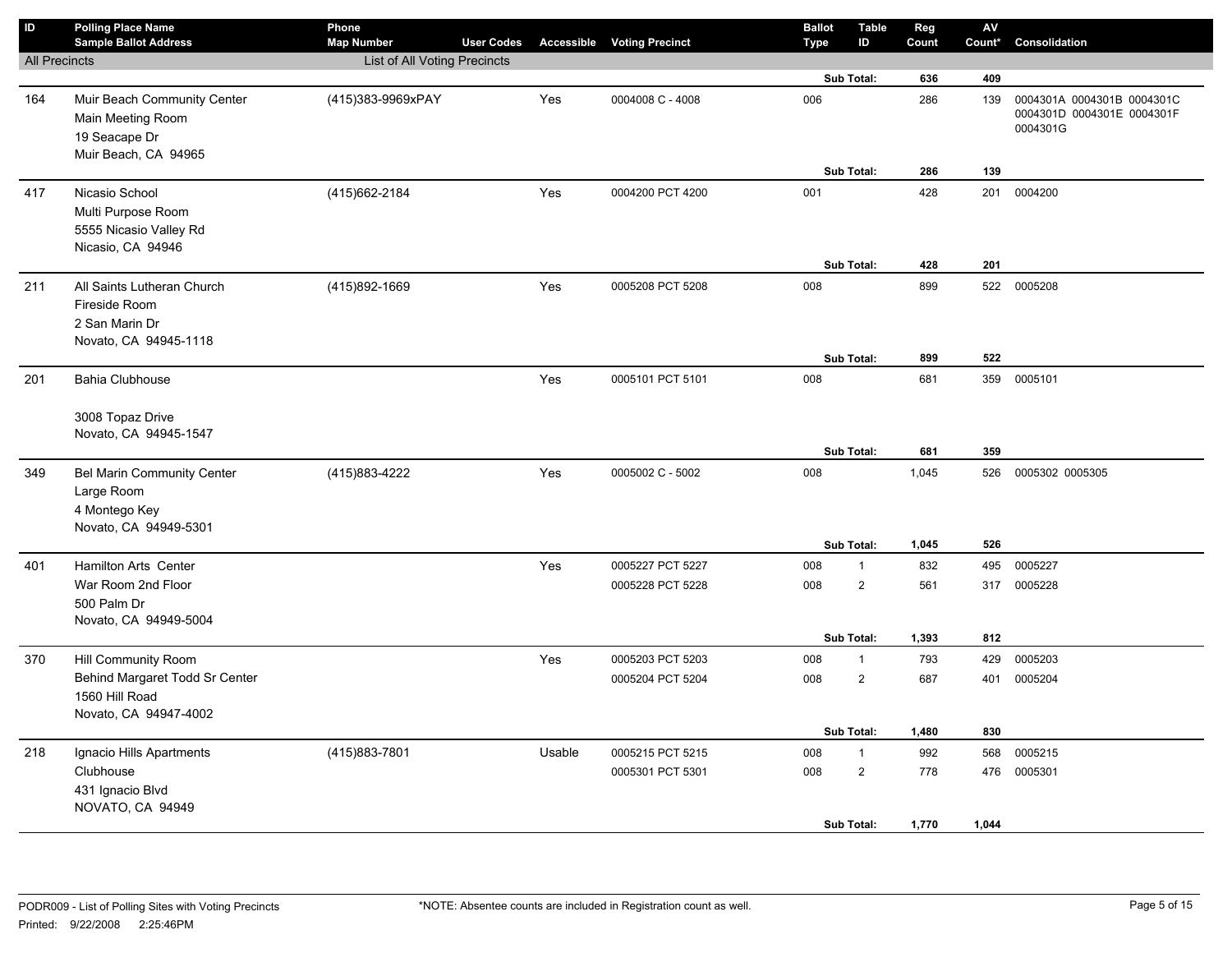| $\sf ID$             | <b>Polling Place Name</b><br><b>Sample Ballot Address</b>                                 | Phone<br><b>Map Number</b>   | <b>User Codes</b> |        | <b>Accessible Voting Precinct</b>    | <b>Ballot</b><br><b>Type</b> | <b>Table</b><br>ID                           | Reg<br>Count        | ${\sf AV}$<br>Count* | Consolidation                                                        |
|----------------------|-------------------------------------------------------------------------------------------|------------------------------|-------------------|--------|--------------------------------------|------------------------------|----------------------------------------------|---------------------|----------------------|----------------------------------------------------------------------|
| <b>All Precincts</b> |                                                                                           | List of All Voting Precincts |                   |        |                                      |                              |                                              |                     |                      |                                                                      |
|                      |                                                                                           |                              |                   |        |                                      |                              | Sub Total:                                   | 636                 | 409                  |                                                                      |
| 164                  | Muir Beach Community Center<br>Main Meeting Room<br>19 Seacape Dr<br>Muir Beach, CA 94965 | (415)383-9969xPAY            |                   | Yes    | 0004008 C - 4008                     | 006                          |                                              | 286                 | 139                  | 0004301A 0004301B 0004301C<br>0004301D 0004301E 0004301F<br>0004301G |
|                      |                                                                                           |                              |                   |        |                                      |                              | Sub Total:                                   | 286                 | 139                  |                                                                      |
| 417                  | Nicasio School<br>Multi Purpose Room<br>5555 Nicasio Valley Rd<br>Nicasio, CA 94946       | (415) 662-2184               |                   | Yes    | 0004200 PCT 4200                     | 001                          | Sub Total:                                   | 428<br>428          | 201<br>201           | 0004200                                                              |
|                      |                                                                                           |                              |                   |        |                                      |                              |                                              |                     |                      |                                                                      |
| 211                  | All Saints Lutheran Church<br>Fireside Room<br>2 San Marin Dr<br>Novato, CA 94945-1118    | (415)892-1669                |                   | Yes    | 0005208 PCT 5208                     | 008                          | Sub Total:                                   | 899<br>899          | 522<br>522           | 0005208                                                              |
| 201                  | <b>Bahia Clubhouse</b>                                                                    |                              |                   | Yes    | 0005101 PCT 5101                     | 008                          |                                              | 681                 | 359                  | 0005101                                                              |
|                      | 3008 Topaz Drive<br>Novato, CA 94945-1547                                                 |                              |                   |        |                                      |                              | Sub Total:                                   | 681                 | 359                  |                                                                      |
| 349                  | <b>Bel Marin Community Center</b><br>Large Room<br>4 Montego Key<br>Novato, CA 94949-5301 | (415) 883-4222               |                   | Yes    | 0005002 C - 5002                     | 008                          |                                              | 1,045               | 526                  | 0005302 0005305                                                      |
|                      |                                                                                           |                              |                   |        |                                      |                              | Sub Total:                                   | 1,045               | 526                  |                                                                      |
| 401                  | Hamilton Arts Center<br>War Room 2nd Floor<br>500 Palm Dr<br>Novato, CA 94949-5004        |                              |                   | Yes    | 0005227 PCT 5227<br>0005228 PCT 5228 | 008<br>008                   | $\mathbf{1}$<br>$\overline{2}$<br>Sub Total: | 832<br>561<br>1,393 | 495<br>317<br>812    | 0005227<br>0005228                                                   |
| 370                  | Hill Community Room                                                                       |                              |                   | Yes    | 0005203 PCT 5203                     | 008                          | $\mathbf{1}$                                 | 793                 | 429                  | 0005203                                                              |
|                      | Behind Margaret Todd Sr Center<br>1560 Hill Road<br>Novato, CA 94947-4002                 |                              |                   |        | 0005204 PCT 5204                     | 008                          | $\overline{2}$<br><b>Sub Total:</b>          | 687<br>1,480        | 401<br>830           | 0005204                                                              |
| 218                  | Ignacio Hills Apartments                                                                  | (415)883-7801                |                   | Usable | 0005215 PCT 5215                     | 008                          | $\mathbf{1}$                                 | 992                 | 568                  | 0005215                                                              |
|                      | Clubhouse<br>431 Ignacio Blvd<br>NOVATO, CA 94949                                         |                              |                   |        | 0005301 PCT 5301                     | 008                          | $\overline{2}$                               | 778                 | 476                  | 0005301                                                              |
|                      |                                                                                           |                              |                   |        |                                      |                              | Sub Total:                                   | 1,770               | 1,044                |                                                                      |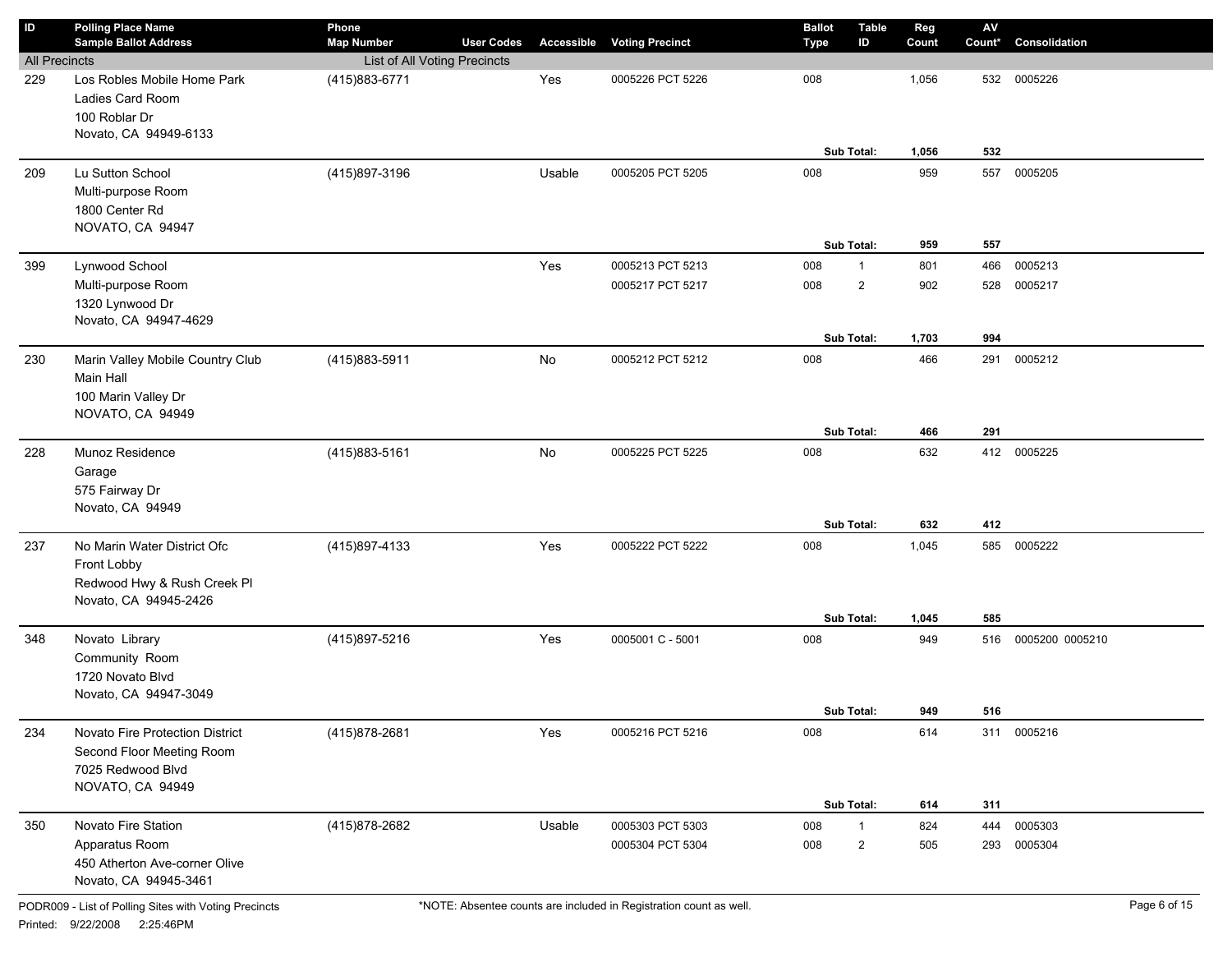| $\sf ID$             | <b>Polling Place Name</b><br><b>Sample Ballot Address</b>                                             | Phone<br><b>Map Number</b>   | <b>User Codes</b> |        | <b>Accessible Voting Precinct</b> | <b>Ballot</b><br><b>Type</b> | <b>Table</b><br>ID       | Reg<br>Count      | $\mathsf{A}\mathsf{V}$<br>Count* | Consolidation   |
|----------------------|-------------------------------------------------------------------------------------------------------|------------------------------|-------------------|--------|-----------------------------------|------------------------------|--------------------------|-------------------|----------------------------------|-----------------|
| <b>All Precincts</b> |                                                                                                       | List of All Voting Precincts |                   |        |                                   |                              |                          |                   |                                  |                 |
| 229                  | Los Robles Mobile Home Park<br>Ladies Card Room<br>100 Roblar Dr<br>Novato, CA 94949-6133             | (415) 883-6771               |                   | Yes    | 0005226 PCT 5226                  | 008                          | Sub Total:               | 1,056<br>1,056    | 532<br>532                       | 0005226         |
| 209                  | Lu Sutton School<br>Multi-purpose Room<br>1800 Center Rd<br>NOVATO, CA 94947                          | (415)897-3196                |                   | Usable | 0005205 PCT 5205                  | 008                          | Sub Total:               | 959<br>959        | 557<br>557                       | 0005205         |
| 399                  | Lynwood School                                                                                        |                              |                   | Yes    | 0005213 PCT 5213                  | 008                          | $\mathbf{1}$             | 801               | 466                              | 0005213         |
|                      | Multi-purpose Room<br>1320 Lynwood Dr<br>Novato, CA 94947-4629                                        |                              |                   |        | 0005217 PCT 5217                  | 008                          | $\overline{2}$           | 902               | 528                              | 0005217         |
|                      |                                                                                                       |                              |                   |        |                                   |                              | Sub Total:               | 1,703             | 994                              |                 |
| 230                  | Marin Valley Mobile Country Club<br>Main Hall<br>100 Marin Valley Dr<br>NOVATO, CA 94949              | (415)883-5911                |                   | No     | 0005212 PCT 5212                  | 008                          | Sub Total:               | 466<br>466        | 291<br>291                       | 0005212         |
| 228                  | Munoz Residence<br>Garage<br>575 Fairway Dr<br>Novato, CA 94949                                       | (415)883-5161                |                   | No     | 0005225 PCT 5225                  | 008                          | Sub Total:               | 632<br>632        | 412                              | 412 0005225     |
| 237                  | No Marin Water District Ofc<br>Front Lobby<br>Redwood Hwy & Rush Creek Pl<br>Novato, CA 94945-2426    | (415)897-4133                |                   | Yes    | 0005222 PCT 5222                  | 008                          | Sub Total:               | 1,045             | 585<br>585                       | 0005222         |
| 348                  | Novato Library<br>Community Room<br>1720 Novato Blvd<br>Novato, CA 94947-3049                         | (415)897-5216                |                   | Yes    | 0005001 C - 5001                  | 008                          |                          | 1,045<br>949      | 516                              | 0005200 0005210 |
| 234                  | Novato Fire Protection District<br>Second Floor Meeting Room<br>7025 Redwood Blvd<br>NOVATO, CA 94949 | (415) 878-2681               |                   | Yes    | 0005216 PCT 5216                  | 008                          | Sub Total:<br>Sub Total: | 949<br>614<br>614 | 516<br>311                       | 311 0005216     |
| 350                  | Novato Fire Station                                                                                   | (415) 878-2682               |                   | Usable | 0005303 PCT 5303                  | 008                          | $\mathbf{1}$             | 824               | 444                              | 0005303         |
|                      | Apparatus Room<br>450 Atherton Ave-corner Olive<br>Novato, CA 94945-3461                              |                              |                   |        | 0005304 PCT 5304                  | 008                          | $\overline{2}$           | 505               | 293                              | 0005304         |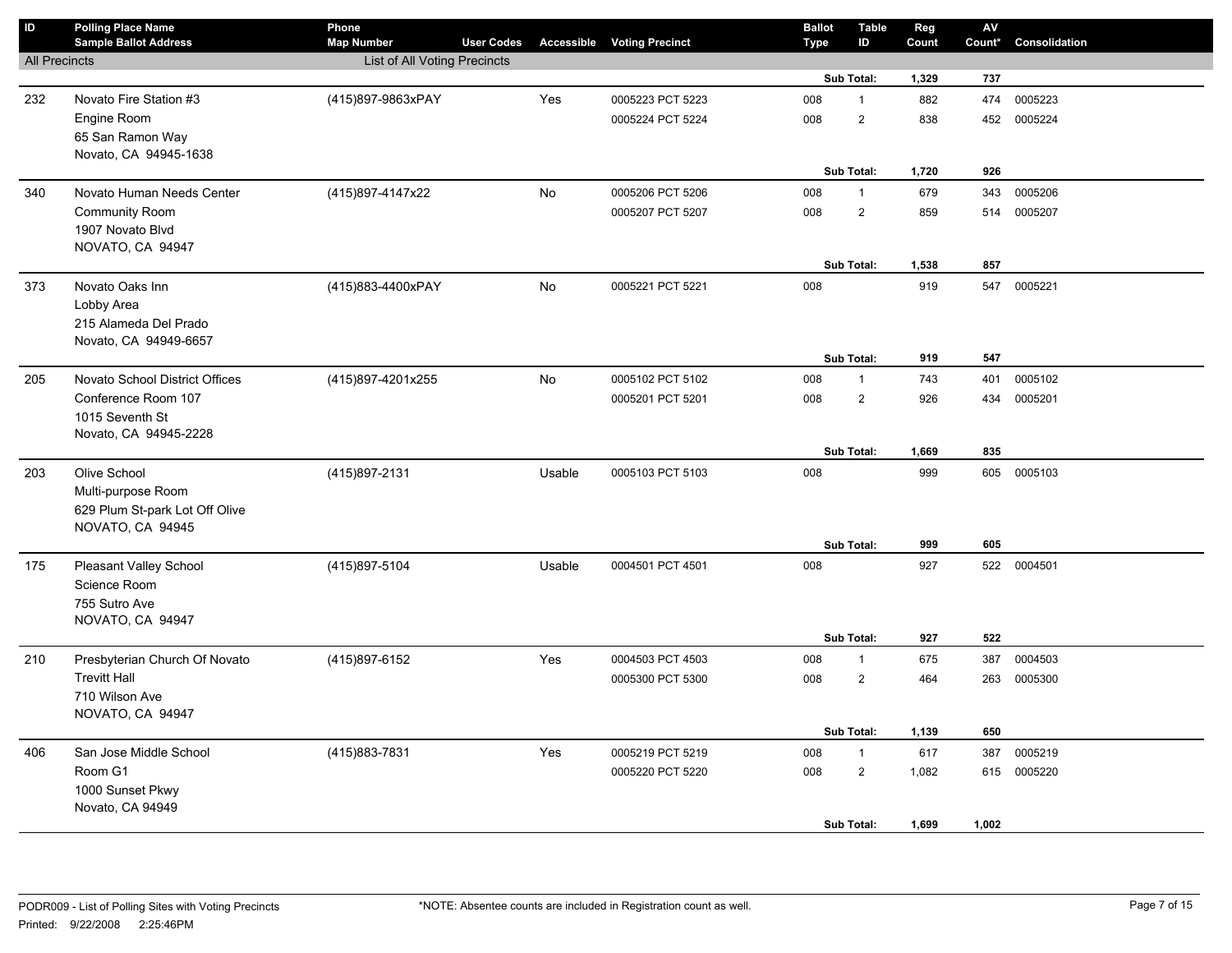| ID                   | <b>Polling Place Name</b>                             | Phone                        |                   |        |                                   | <b>Ballot</b> | <b>Table</b>   | Reg   | AV     |               |
|----------------------|-------------------------------------------------------|------------------------------|-------------------|--------|-----------------------------------|---------------|----------------|-------|--------|---------------|
|                      | <b>Sample Ballot Address</b>                          | <b>Map Number</b>            | <b>User Codes</b> |        | <b>Accessible Voting Precinct</b> | <b>Type</b>   | ID             | Count | Count* | Consolidation |
| <b>All Precincts</b> |                                                       | List of All Voting Precincts |                   |        |                                   |               |                |       |        |               |
|                      |                                                       |                              |                   |        |                                   |               | Sub Total:     | 1,329 | 737    |               |
| 232                  | Novato Fire Station #3                                | (415)897-9863xPAY            |                   | Yes    | 0005223 PCT 5223                  | 008           | $\mathbf{1}$   | 882   | 474    | 0005223       |
|                      | Engine Room                                           |                              |                   |        | 0005224 PCT 5224                  | 008           | $\overline{2}$ | 838   | 452    | 0005224       |
|                      | 65 San Ramon Way                                      |                              |                   |        |                                   |               |                |       |        |               |
|                      | Novato, CA 94945-1638                                 |                              |                   |        |                                   |               |                |       |        |               |
|                      |                                                       |                              |                   |        |                                   |               | Sub Total:     | 1,720 | 926    |               |
| 340                  | Novato Human Needs Center                             | (415)897-4147x22             |                   | No     | 0005206 PCT 5206                  | 008           | $\mathbf{1}$   | 679   | 343    | 0005206       |
|                      | <b>Community Room</b>                                 |                              |                   |        | 0005207 PCT 5207                  | 008           | $\overline{2}$ | 859   | 514    | 0005207       |
|                      | 1907 Novato Blvd                                      |                              |                   |        |                                   |               |                |       |        |               |
|                      | NOVATO, CA 94947                                      |                              |                   |        |                                   |               |                |       |        |               |
|                      |                                                       |                              |                   |        |                                   |               | Sub Total:     | 1,538 | 857    |               |
| 373                  | Novato Oaks Inn                                       | (415)883-4400xPAY            |                   | No     | 0005221 PCT 5221                  | 008           |                | 919   | 547    | 0005221       |
|                      | Lobby Area                                            |                              |                   |        |                                   |               |                |       |        |               |
|                      | 215 Alameda Del Prado                                 |                              |                   |        |                                   |               |                |       |        |               |
|                      | Novato, CA 94949-6657                                 |                              |                   |        |                                   |               | Sub Total:     | 919   | 547    |               |
|                      |                                                       |                              |                   |        |                                   |               |                |       |        |               |
| 205                  | Novato School District Offices<br>Conference Room 107 | (415)897-4201x255            |                   | No     | 0005102 PCT 5102                  | 008           | $\mathbf{1}$   | 743   | 401    | 0005102       |
|                      | 1015 Seventh St                                       |                              |                   |        | 0005201 PCT 5201                  | 008           | $\overline{2}$ | 926   | 434    | 0005201       |
|                      | Novato, CA 94945-2228                                 |                              |                   |        |                                   |               |                |       |        |               |
|                      |                                                       |                              |                   |        |                                   |               | Sub Total:     | 1,669 | 835    |               |
| 203                  | Olive School                                          | (415)897-2131                |                   | Usable | 0005103 PCT 5103                  | 008           |                | 999   | 605    | 0005103       |
|                      | Multi-purpose Room                                    |                              |                   |        |                                   |               |                |       |        |               |
|                      | 629 Plum St-park Lot Off Olive                        |                              |                   |        |                                   |               |                |       |        |               |
|                      | NOVATO, CA 94945                                      |                              |                   |        |                                   |               |                |       |        |               |
|                      |                                                       |                              |                   |        |                                   |               | Sub Total:     | 999   | 605    |               |
| 175                  | <b>Pleasant Valley School</b>                         | (415) 897-5104               |                   | Usable | 0004501 PCT 4501                  | 008           |                | 927   |        | 522 0004501   |
|                      | Science Room                                          |                              |                   |        |                                   |               |                |       |        |               |
|                      | 755 Sutro Ave                                         |                              |                   |        |                                   |               |                |       |        |               |
|                      | NOVATO, CA 94947                                      |                              |                   |        |                                   |               |                |       |        |               |
|                      |                                                       |                              |                   |        |                                   |               | Sub Total:     | 927   | 522    |               |
| 210                  | Presbyterian Church Of Novato                         | (415)897-6152                |                   | Yes    | 0004503 PCT 4503                  | 008           | $\mathbf{1}$   | 675   | 387    | 0004503       |
|                      | <b>Trevitt Hall</b>                                   |                              |                   |        | 0005300 PCT 5300                  | 008           | $\overline{2}$ | 464   | 263    | 0005300       |
|                      | 710 Wilson Ave                                        |                              |                   |        |                                   |               |                |       |        |               |
|                      | NOVATO, CA 94947                                      |                              |                   |        |                                   |               |                |       |        |               |
|                      |                                                       |                              |                   |        |                                   |               | Sub Total:     | 1,139 | 650    |               |
| 406                  | San Jose Middle School                                | (415) 883-7831               |                   | Yes    | 0005219 PCT 5219                  | 008           | $\mathbf{1}$   | 617   | 387    | 0005219       |
|                      | Room G1                                               |                              |                   |        | 0005220 PCT 5220                  | 008           | $\sqrt{2}$     | 1,082 |        | 615 0005220   |
|                      | 1000 Sunset Pkwy                                      |                              |                   |        |                                   |               |                |       |        |               |
|                      | Novato, CA 94949                                      |                              |                   |        |                                   |               |                |       |        |               |
|                      |                                                       |                              |                   |        |                                   |               | Sub Total:     | 1,699 | 1,002  |               |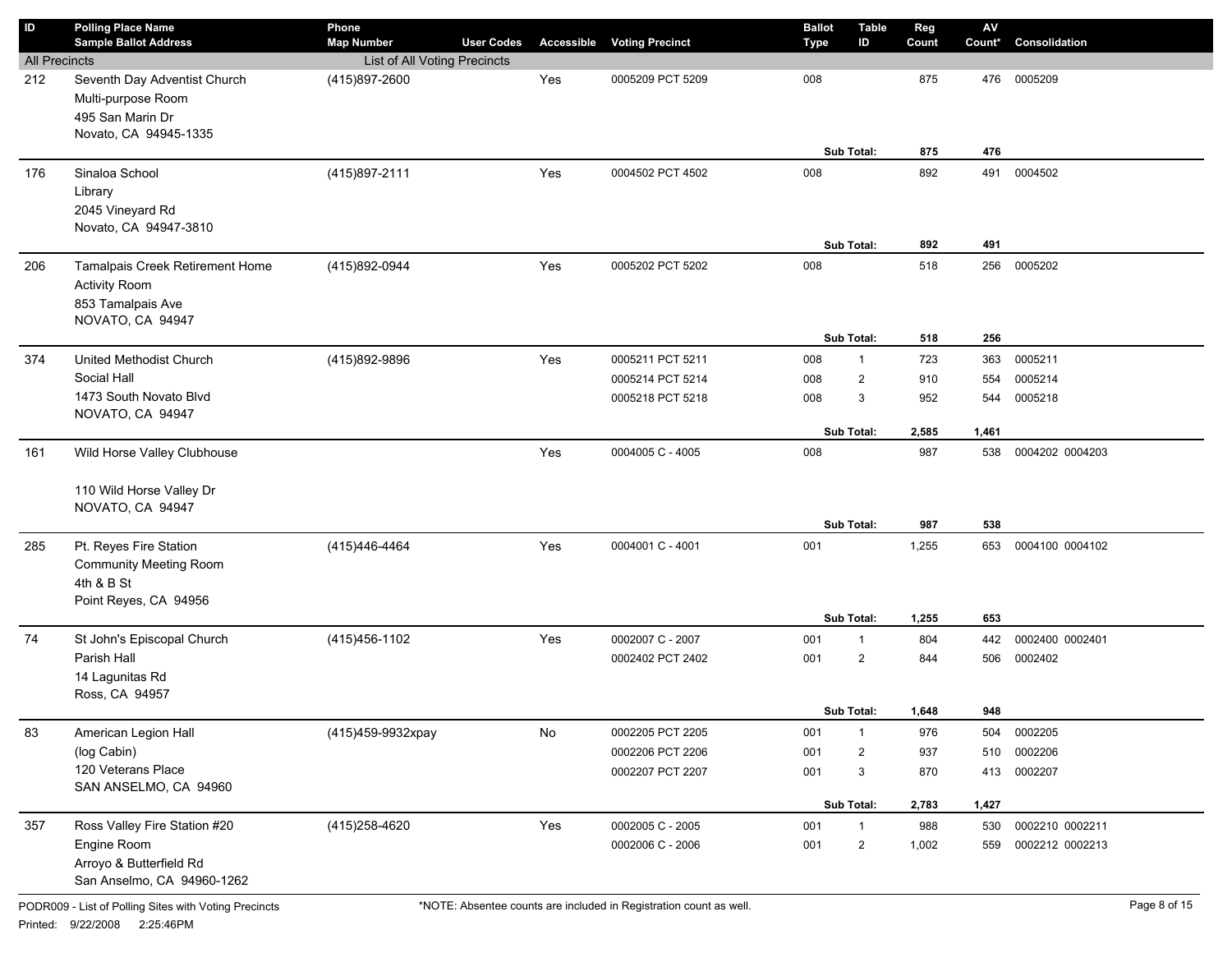| $\mathsf{ID}$        | <b>Polling Place Name</b><br><b>Sample Ballot Address</b>                                            | Phone<br><b>Map Number</b>   | <b>User Codes</b> | Accessible | <b>Voting Precinct</b>               | <b>Ballot</b><br>Type | <b>Table</b><br>ID             | Reg<br>Count | $\mathsf{A}\mathsf{V}$<br>Count* | Consolidation                      |
|----------------------|------------------------------------------------------------------------------------------------------|------------------------------|-------------------|------------|--------------------------------------|-----------------------|--------------------------------|--------------|----------------------------------|------------------------------------|
| <b>All Precincts</b> |                                                                                                      | List of All Voting Precincts |                   |            |                                      |                       |                                |              |                                  |                                    |
| 212                  | Seventh Day Adventist Church<br>Multi-purpose Room<br>495 San Marin Dr<br>Novato, CA 94945-1335      | (415)897-2600                |                   | Yes        | 0005209 PCT 5209                     | 008                   | Sub Total:                     | 875<br>875   | 476<br>476                       | 0005209                            |
| 176                  | Sinaloa School<br>Library<br>2045 Vineyard Rd<br>Novato, CA 94947-3810                               | (415) 897-2111               |                   | Yes        | 0004502 PCT 4502                     | 008                   | Sub Total:                     | 892<br>892   | 491<br>491                       | 0004502                            |
| 206                  | Tamalpais Creek Retirement Home<br><b>Activity Room</b><br>853 Tamalpais Ave<br>NOVATO, CA 94947     | (415)892-0944                |                   | Yes        | 0005202 PCT 5202                     | 008                   | Sub Total:                     | 518<br>518   | 256<br>256                       | 0005202                            |
| 374                  | United Methodist Church                                                                              | (415)892-9896                |                   | Yes        | 0005211 PCT 5211                     | 008                   | $\mathbf{1}$                   | 723          | 363                              | 0005211                            |
|                      | Social Hall                                                                                          |                              |                   |            | 0005214 PCT 5214                     | 008                   | 2                              | 910          | 554                              | 0005214                            |
|                      | 1473 South Novato Blvd<br>NOVATO, CA 94947                                                           |                              |                   |            | 0005218 PCT 5218                     | 008                   | 3                              | 952          | 544                              | 0005218                            |
|                      |                                                                                                      |                              |                   |            |                                      |                       | Sub Total:                     | 2,585        | 1,461                            |                                    |
| 161                  | Wild Horse Valley Clubhouse                                                                          |                              |                   | Yes        | 0004005 C - 4005                     | 008                   |                                | 987          | 538                              | 0004202 0004203                    |
|                      | 110 Wild Horse Valley Dr<br>NOVATO, CA 94947                                                         |                              |                   |            |                                      |                       | Sub Total:                     | 987          | 538                              |                                    |
| 285                  | Pt. Reyes Fire Station<br><b>Community Meeting Room</b><br>4th & B St<br>Point Reyes, CA 94956       | (415)446-4464                |                   | Yes        | 0004001 C - 4001                     | 001                   |                                | 1,255        | 653                              | 0004100 0004102                    |
|                      |                                                                                                      |                              |                   |            |                                      |                       | Sub Total:                     | 1,255        | 653                              |                                    |
| 74                   | St John's Episcopal Church                                                                           | (415) 456-1102               |                   | Yes        | 0002007 C - 2007                     | 001                   | $\mathbf{1}$                   | 804          | 442                              | 0002400 0002401                    |
|                      | Parish Hall<br>14 Lagunitas Rd<br>Ross, CA 94957                                                     |                              |                   |            | 0002402 PCT 2402                     | 001                   | $\overline{2}$                 | 844          | 506                              | 0002402                            |
|                      |                                                                                                      |                              |                   |            |                                      |                       | Sub Total:                     | 1,648        | 948                              |                                    |
| 83                   | American Legion Hall                                                                                 | (415)459-9932xpay            |                   | No         | 0002205 PCT 2205                     | 001                   | $\mathbf{1}$                   | 976          | 504                              | 0002205                            |
|                      | (log Cabin)                                                                                          |                              |                   |            | 0002206 PCT 2206                     | 001                   | 2                              | 937          | 510                              | 0002206                            |
|                      | 120 Veterans Place<br>SAN ANSELMO, CA 94960                                                          |                              |                   |            | 0002207 PCT 2207                     | 001                   | 3                              | 870          | 413                              | 0002207                            |
|                      |                                                                                                      |                              |                   |            |                                      |                       | Sub Total:                     | 2,783        | 1,427                            |                                    |
| 357                  | Ross Valley Fire Station #20<br>Engine Room<br>Arroyo & Butterfield Rd<br>San Anselmo, CA 94960-1262 | (415) 258-4620               |                   | Yes        | 0002005 C - 2005<br>0002006 C - 2006 | 001<br>001            | $\mathbf{1}$<br>$\overline{c}$ | 988<br>1,002 | 530<br>559                       | 0002210 0002211<br>0002212 0002213 |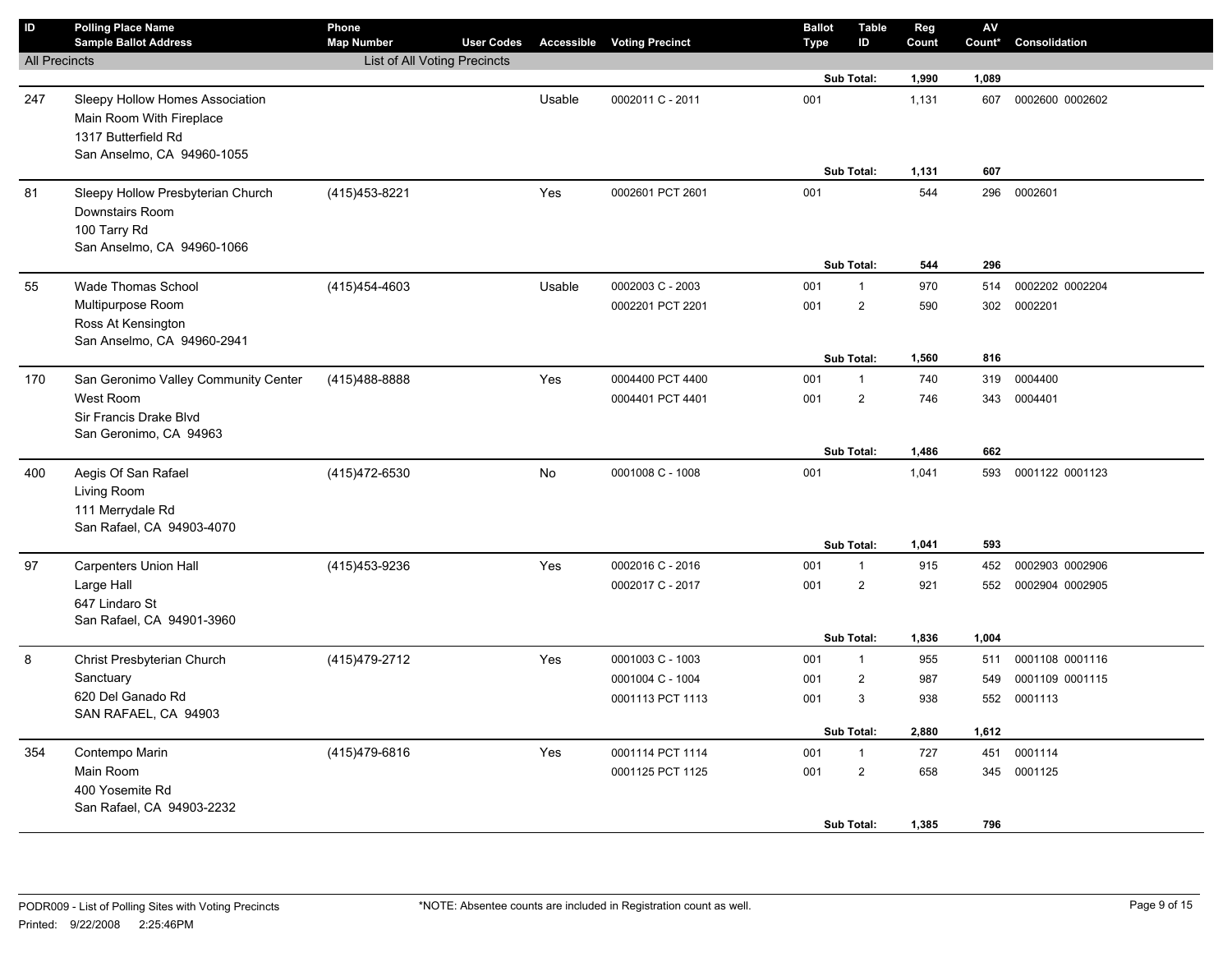| ID                   | <b>Polling Place Name</b><br><b>Sample Ballot Address</b>                                                        | Phone<br><b>Map Number</b>   | <b>User Codes</b> |        | <b>Accessible Voting Precinct</b>    | <b>Ballot</b><br><b>Type</b> | <b>Table</b><br>ID                           | Reg<br>Count        | $\mathsf{A}\mathsf{V}$<br>Count* | Consolidation                      |
|----------------------|------------------------------------------------------------------------------------------------------------------|------------------------------|-------------------|--------|--------------------------------------|------------------------------|----------------------------------------------|---------------------|----------------------------------|------------------------------------|
| <b>All Precincts</b> |                                                                                                                  | List of All Voting Precincts |                   |        |                                      |                              |                                              |                     |                                  |                                    |
|                      |                                                                                                                  |                              |                   |        |                                      |                              | Sub Total:                                   | 1,990               | 1,089                            |                                    |
| 247                  | Sleepy Hollow Homes Association<br>Main Room With Fireplace<br>1317 Butterfield Rd<br>San Anselmo, CA 94960-1055 |                              |                   | Usable | 0002011 C - 2011                     | 001                          |                                              | 1,131               | 607                              | 0002600 0002602                    |
|                      |                                                                                                                  |                              |                   |        |                                      |                              | Sub Total:                                   | 1,131               | 607                              |                                    |
| 81                   | Sleepy Hollow Presbyterian Church<br>Downstairs Room<br>100 Tarry Rd<br>San Anselmo, CA 94960-1066               | (415) 453-8221               |                   | Yes    | 0002601 PCT 2601                     | 001                          | Sub Total:                                   | 544<br>544          | 296<br>296                       | 0002601                            |
| 55                   | <b>Wade Thomas School</b>                                                                                        | (415) 454-4603               |                   | Usable | 0002003 C - 2003                     | 001                          | $\mathbf{1}$                                 | 970                 | 514                              | 0002202 0002204                    |
|                      | Multipurpose Room<br>Ross At Kensington<br>San Anselmo, CA 94960-2941                                            |                              |                   |        | 0002201 PCT 2201                     | 001                          | $\overline{2}$                               | 590                 | 302                              | 0002201                            |
|                      |                                                                                                                  |                              |                   |        |                                      |                              | Sub Total:                                   | 1,560               | 816                              |                                    |
| 170                  | San Geronimo Valley Community Center<br>West Room<br>Sir Francis Drake Blvd<br>San Geronimo, CA 94963            | (415)488-8888                |                   | Yes    | 0004400 PCT 4400<br>0004401 PCT 4401 | 001<br>001                   | $\mathbf{1}$<br>$\overline{2}$               | 740<br>746          | 319<br>343                       | 0004400<br>0004401                 |
|                      |                                                                                                                  |                              |                   |        |                                      |                              | Sub Total:                                   | 1,486               | 662                              |                                    |
| 400                  | Aegis Of San Rafael<br>Living Room<br>111 Merrydale Rd<br>San Rafael, CA 94903-4070                              | (415) 472-6530               |                   | No     | 0001008 C - 1008                     | 001                          |                                              | 1,041               | 593                              | 0001122 0001123                    |
|                      |                                                                                                                  |                              |                   |        |                                      |                              | Sub Total:                                   | 1,041               | 593                              |                                    |
| 97                   | <b>Carpenters Union Hall</b><br>Large Hall<br>647 Lindaro St<br>San Rafael, CA 94901-3960                        | (415) 453-9236               |                   | Yes    | 0002016 C - 2016<br>0002017 C - 2017 | 001<br>001                   | $\mathbf{1}$<br>$\overline{2}$<br>Sub Total: | 915<br>921<br>1,836 | 452<br>552<br>1,004              | 0002903 0002906<br>0002904 0002905 |
| 8                    | Christ Presbyterian Church                                                                                       | (415) 479-2712               |                   | Yes    | 0001003 C - 1003                     | 001                          | $\mathbf{1}$                                 | 955                 | 511                              | 0001108 0001116                    |
|                      | Sanctuary                                                                                                        |                              |                   |        | 0001004 C - 1004                     | 001                          | $\overline{2}$                               | 987                 | 549                              | 0001109 0001115                    |
|                      | 620 Del Ganado Rd<br>SAN RAFAEL, CA 94903                                                                        |                              |                   |        | 0001113 PCT 1113                     | 001                          | 3                                            | 938                 | 552                              | 0001113                            |
|                      |                                                                                                                  |                              |                   |        |                                      |                              | Sub Total:                                   | 2,880               | 1,612                            |                                    |
| 354                  | Contempo Marin<br>Main Room<br>400 Yosemite Rd<br>San Rafael, CA 94903-2232                                      | (415) 479-6816               |                   | Yes    | 0001114 PCT 1114<br>0001125 PCT 1125 | 001<br>001                   | $\mathbf{1}$<br>$\overline{c}$               | 727<br>658          | 451                              | 0001114<br>345 0001125             |
|                      |                                                                                                                  |                              |                   |        |                                      |                              | Sub Total:                                   | 1,385               | 796                              |                                    |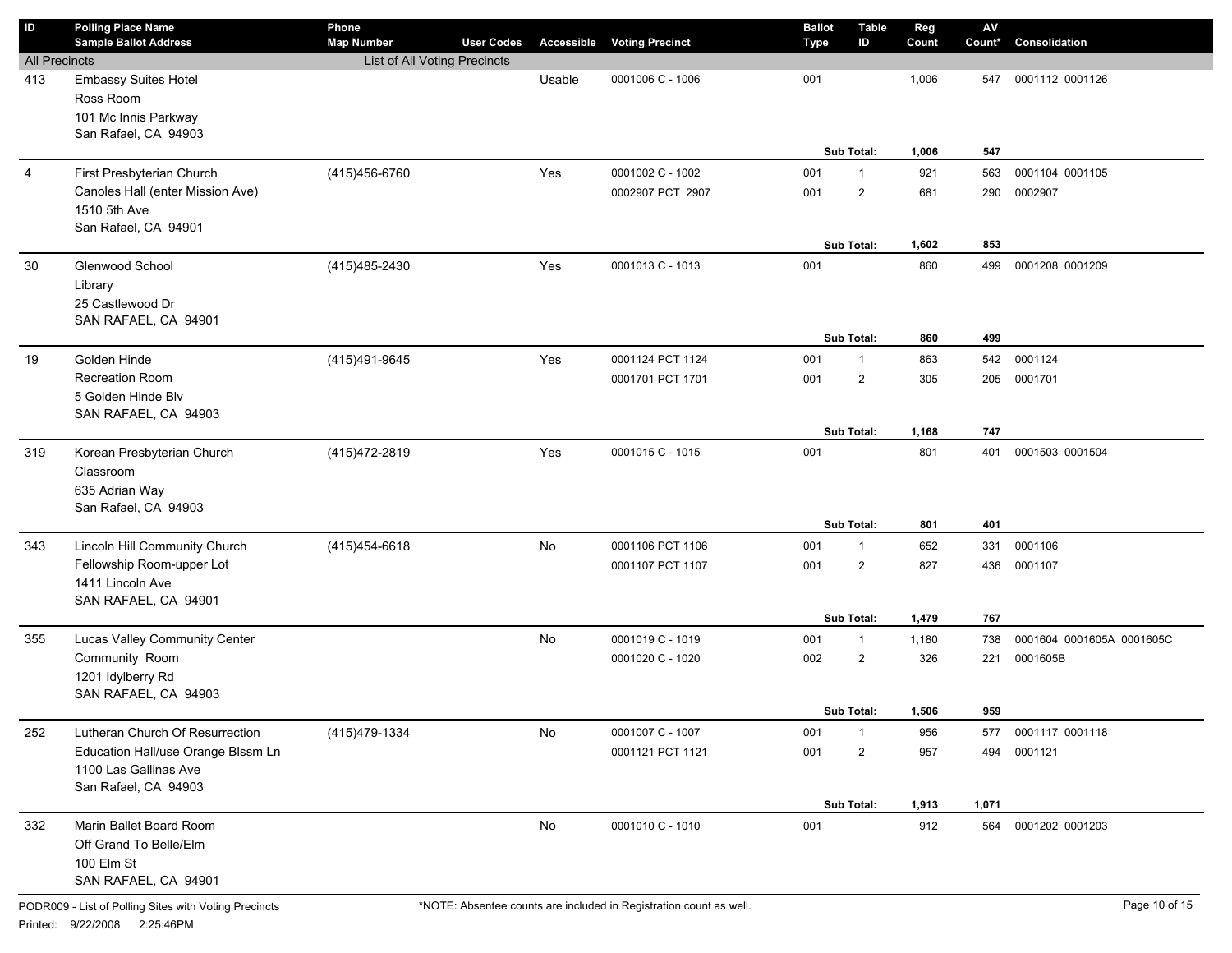| ID                   | <b>Polling Place Name</b><br><b>Sample Ballot Address</b> | Phone<br><b>Map Number</b>   | <b>User Codes</b> |        | <b>Accessible Voting Precinct</b> | <b>Ballot</b><br>Type | ID                | <b>Table</b> | Reg<br>Count | ${\sf AV}$<br>Count* | Consolidation             |
|----------------------|-----------------------------------------------------------|------------------------------|-------------------|--------|-----------------------------------|-----------------------|-------------------|--------------|--------------|----------------------|---------------------------|
| <b>All Precincts</b> |                                                           | List of All Voting Precincts |                   |        |                                   |                       |                   |              |              |                      |                           |
| 413                  | Embassy Suites Hotel<br>Ross Room                         |                              |                   | Usable | 0001006 C - 1006                  | 001                   |                   |              | 1,006        | 547                  | 0001112 0001126           |
|                      | 101 Mc Innis Parkway<br>San Rafael, CA 94903              |                              |                   |        |                                   |                       |                   |              |              |                      |                           |
|                      |                                                           |                              |                   |        |                                   |                       | <b>Sub Total:</b> |              | 1,006        | 547                  |                           |
| $\overline{4}$       | First Presbyterian Church                                 | (415) 456-6760               |                   | Yes    | 0001002 C - 1002                  | 001                   | $\mathbf{1}$      |              | 921          | 563                  | 0001104 0001105           |
|                      | Canoles Hall (enter Mission Ave)<br>1510 5th Ave          |                              |                   |        | 0002907 PCT 2907                  | 001                   | $\overline{2}$    |              | 681          | 290                  | 0002907                   |
|                      | San Rafael, CA 94901                                      |                              |                   |        |                                   |                       |                   |              |              |                      |                           |
|                      |                                                           |                              |                   |        |                                   |                       | <b>Sub Total:</b> |              | 1,602        | 853                  |                           |
| 30                   | Glenwood School                                           | (415) 485-2430               |                   | Yes    | 0001013 C - 1013                  | 001                   |                   |              | 860          | 499                  | 0001208 0001209           |
|                      | Library                                                   |                              |                   |        |                                   |                       |                   |              |              |                      |                           |
|                      | 25 Castlewood Dr                                          |                              |                   |        |                                   |                       |                   |              |              |                      |                           |
|                      | SAN RAFAEL, CA 94901                                      |                              |                   |        |                                   |                       |                   |              |              |                      |                           |
|                      |                                                           |                              |                   |        |                                   |                       | Sub Total:        |              | 860          | 499                  |                           |
| 19                   | Golden Hinde                                              | (415)491-9645                |                   | Yes    | 0001124 PCT 1124                  | 001                   | $\mathbf{1}$      |              | 863          | 542                  | 0001124                   |
|                      | <b>Recreation Room</b>                                    |                              |                   |        | 0001701 PCT 1701                  | 001                   | $\overline{2}$    |              | 305          | 205                  | 0001701                   |
|                      | 5 Golden Hinde Blv<br>SAN RAFAEL, CA 94903                |                              |                   |        |                                   |                       |                   |              |              |                      |                           |
|                      |                                                           |                              |                   |        |                                   |                       | <b>Sub Total:</b> |              | 1,168        | 747                  |                           |
| 319                  | Korean Presbyterian Church                                | (415) 472-2819               |                   | Yes    | 0001015 C - 1015                  | 001                   |                   |              | 801          | 401                  | 0001503 0001504           |
|                      | Classroom                                                 |                              |                   |        |                                   |                       |                   |              |              |                      |                           |
|                      | 635 Adrian Way                                            |                              |                   |        |                                   |                       |                   |              |              |                      |                           |
|                      | San Rafael, CA 94903                                      |                              |                   |        |                                   |                       |                   |              |              |                      |                           |
|                      |                                                           |                              |                   |        |                                   |                       | Sub Total:        |              | 801          | 401                  |                           |
| 343                  | Lincoln Hill Community Church                             | (415) 454-6618               |                   | No     | 0001106 PCT 1106                  | 001                   | $\mathbf{1}$      |              | 652          | 331                  | 0001106                   |
|                      | Fellowship Room-upper Lot                                 |                              |                   |        | 0001107 PCT 1107                  | 001                   | $\overline{2}$    |              | 827          | 436                  | 0001107                   |
|                      | 1411 Lincoln Ave                                          |                              |                   |        |                                   |                       |                   |              |              |                      |                           |
|                      | SAN RAFAEL, CA 94901                                      |                              |                   |        |                                   |                       |                   |              |              |                      |                           |
|                      |                                                           |                              |                   |        |                                   |                       | <b>Sub Total:</b> |              | 1,479        | 767                  |                           |
| 355                  | Lucas Valley Community Center                             |                              |                   | No     | 0001019 C - 1019                  | 001                   | $\mathbf{1}$      |              | 1,180        | 738                  | 0001604 0001605A 0001605C |
|                      | Community Room<br>1201 Idylberry Rd                       |                              |                   |        | 0001020 C - 1020                  | 002                   | $\overline{2}$    |              | 326          | 221                  | 0001605B                  |
|                      | SAN RAFAEL, CA 94903                                      |                              |                   |        |                                   |                       |                   |              |              |                      |                           |
|                      |                                                           |                              |                   |        |                                   |                       | <b>Sub Total:</b> |              | 1,506        | 959                  |                           |
| 252                  | Lutheran Church Of Resurrection                           | (415) 479-1334               |                   | No     | 0001007 C - 1007                  | 001                   |                   |              | 956          | 577                  | 0001117 0001118           |
|                      | Education Hall/use Orange Blssm Ln                        |                              |                   |        | 0001121 PCT 1121                  | 001                   | $\overline{2}$    |              | 957          | 494                  | 0001121                   |
|                      | 1100 Las Gallinas Ave                                     |                              |                   |        |                                   |                       |                   |              |              |                      |                           |
|                      | San Rafael, CA 94903                                      |                              |                   |        |                                   |                       |                   |              |              |                      |                           |
|                      |                                                           |                              |                   |        |                                   |                       | Sub Total:        |              | 1,913        | 1,071                |                           |
| 332                  | Marin Ballet Board Room                                   |                              |                   | No     | 0001010 C - 1010                  | 001                   |                   |              | 912          | 564                  | 0001202 0001203           |
|                      | Off Grand To Belle/Elm                                    |                              |                   |        |                                   |                       |                   |              |              |                      |                           |
|                      | 100 Elm St                                                |                              |                   |        |                                   |                       |                   |              |              |                      |                           |
|                      | SAN RAFAEL, CA 94901                                      |                              |                   |        |                                   |                       |                   |              |              |                      |                           |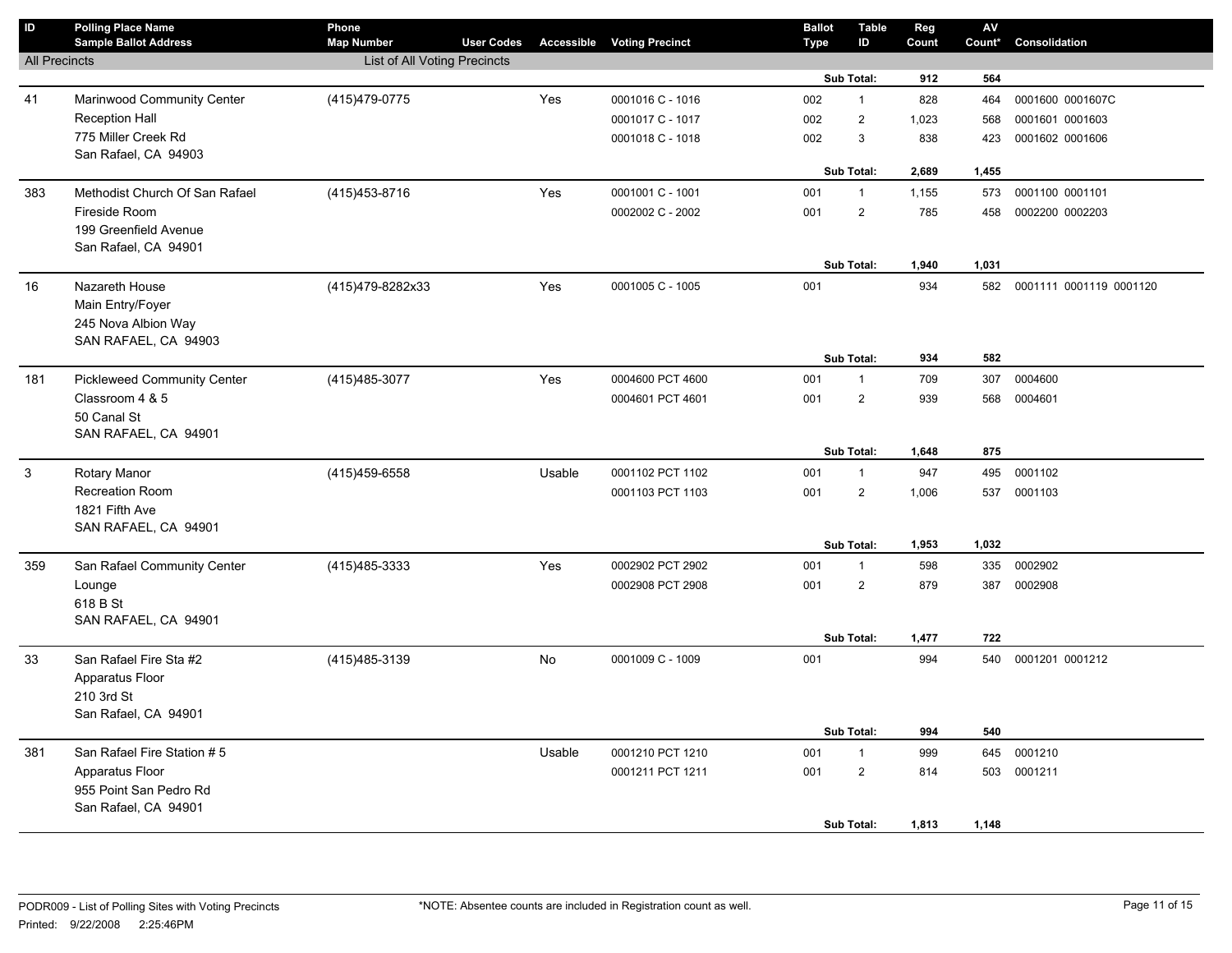| $\sf ID$             | <b>Polling Place Name</b><br><b>Sample Ballot Address</b> | Phone<br><b>Map Number</b>   | <b>User Codes</b> |           | <b>Accessible Voting Precinct</b> | <b>Ballot</b><br><b>Type</b> | <b>Table</b><br>ID | Reg<br>Count | ${\sf AV}$<br>Count* | Consolidation           |
|----------------------|-----------------------------------------------------------|------------------------------|-------------------|-----------|-----------------------------------|------------------------------|--------------------|--------------|----------------------|-------------------------|
| <b>All Precincts</b> |                                                           | List of All Voting Precincts |                   |           |                                   |                              |                    |              |                      |                         |
|                      |                                                           |                              |                   |           |                                   |                              | Sub Total:         | 912          | 564                  |                         |
| 41                   | Marinwood Community Center                                | (415)479-0775                |                   | Yes       | 0001016 C - 1016                  | 002                          | $\mathbf{1}$       | 828          | 464                  | 0001600 0001607C        |
|                      | <b>Reception Hall</b>                                     |                              |                   |           | 0001017 C - 1017                  | 002                          | $\overline{c}$     | 1,023        | 568                  | 0001601 0001603         |
|                      | 775 Miller Creek Rd                                       |                              |                   |           | 0001018 C - 1018                  | 002                          | 3                  | 838          | 423                  | 0001602 0001606         |
|                      | San Rafael, CA 94903                                      |                              |                   |           |                                   |                              |                    |              |                      |                         |
|                      |                                                           |                              |                   |           |                                   |                              | <b>Sub Total:</b>  | 2,689        | 1,455                |                         |
| 383                  | Methodist Church Of San Rafael                            | (415) 453-8716               |                   | Yes       | 0001001 C - 1001                  | 001                          | $\mathbf{1}$       | 1,155        | 573                  | 0001100 0001101         |
|                      | Fireside Room                                             |                              |                   |           | 0002002 C - 2002                  | 001                          | $\overline{2}$     | 785          | 458                  | 0002200 0002203         |
|                      | 199 Greenfield Avenue                                     |                              |                   |           |                                   |                              |                    |              |                      |                         |
|                      | San Rafael, CA 94901                                      |                              |                   |           |                                   |                              | <b>Sub Total:</b>  |              | 1,031                |                         |
|                      |                                                           |                              |                   |           |                                   |                              |                    | 1,940        |                      |                         |
| 16                   | Nazareth House                                            | (415)479-8282x33             |                   | Yes       | 0001005 C - 1005                  | 001                          |                    | 934          | 582                  | 0001111 0001119 0001120 |
|                      | Main Entry/Foyer                                          |                              |                   |           |                                   |                              |                    |              |                      |                         |
|                      | 245 Nova Albion Way<br>SAN RAFAEL, CA 94903               |                              |                   |           |                                   |                              |                    |              |                      |                         |
|                      |                                                           |                              |                   |           |                                   |                              | <b>Sub Total:</b>  | 934          | 582                  |                         |
| 181                  | <b>Pickleweed Community Center</b>                        | (415) 485-3077               |                   | Yes       | 0004600 PCT 4600                  | 001                          | $\mathbf{1}$       | 709          | 307                  | 0004600                 |
|                      | Classroom 4 & 5                                           |                              |                   |           | 0004601 PCT 4601                  | 001                          | $\overline{2}$     | 939          | 568                  | 0004601                 |
|                      | 50 Canal St                                               |                              |                   |           |                                   |                              |                    |              |                      |                         |
|                      | SAN RAFAEL, CA 94901                                      |                              |                   |           |                                   |                              |                    |              |                      |                         |
|                      |                                                           |                              |                   |           |                                   |                              | Sub Total:         | 1,648        | 875                  |                         |
| $\mathbf{3}$         | <b>Rotary Manor</b>                                       | (415) 459-6558               |                   | Usable    | 0001102 PCT 1102                  | 001                          | $\mathbf{1}$       | 947          | 495                  | 0001102                 |
|                      | <b>Recreation Room</b>                                    |                              |                   |           | 0001103 PCT 1103                  | 001                          | $\overline{2}$     | 1,006        | 537                  | 0001103                 |
|                      | 1821 Fifth Ave                                            |                              |                   |           |                                   |                              |                    |              |                      |                         |
|                      | SAN RAFAEL, CA 94901                                      |                              |                   |           |                                   |                              |                    |              |                      |                         |
|                      |                                                           |                              |                   |           |                                   |                              | Sub Total:         | 1,953        | 1,032                |                         |
| 359                  | San Rafael Community Center                               | (415) 485-3333               |                   | Yes       | 0002902 PCT 2902                  | 001                          | $\mathbf{1}$       | 598          | 335                  | 0002902                 |
|                      | Lounge                                                    |                              |                   |           | 0002908 PCT 2908                  | 001                          | $\overline{c}$     | 879          | 387                  | 0002908                 |
|                      | 618 B St<br>SAN RAFAEL, CA 94901                          |                              |                   |           |                                   |                              |                    |              |                      |                         |
|                      |                                                           |                              |                   |           |                                   |                              | <b>Sub Total:</b>  | 1,477        | 722                  |                         |
| 33                   | San Rafael Fire Sta #2                                    | (415) 485-3139               |                   | <b>No</b> | 0001009 C - 1009                  | 001                          |                    | 994          | 540                  | 0001201 0001212         |
|                      | Apparatus Floor                                           |                              |                   |           |                                   |                              |                    |              |                      |                         |
|                      | 210 3rd St                                                |                              |                   |           |                                   |                              |                    |              |                      |                         |
|                      | San Rafael, CA 94901                                      |                              |                   |           |                                   |                              |                    |              |                      |                         |
|                      |                                                           |                              |                   |           |                                   |                              | Sub Total:         | 994          | 540                  |                         |
| 381                  | San Rafael Fire Station # 5                               |                              |                   | Usable    | 0001210 PCT 1210                  | 001                          | $\mathbf{1}$       | 999          | 645                  | 0001210                 |
|                      | Apparatus Floor                                           |                              |                   |           | 0001211 PCT 1211                  | 001                          | $\overline{c}$     | 814          | 503                  | 0001211                 |
|                      | 955 Point San Pedro Rd                                    |                              |                   |           |                                   |                              |                    |              |                      |                         |
|                      | San Rafael, CA 94901                                      |                              |                   |           |                                   |                              |                    |              |                      |                         |
|                      |                                                           |                              |                   |           |                                   |                              | <b>Sub Total:</b>  | 1,813        | 1,148                |                         |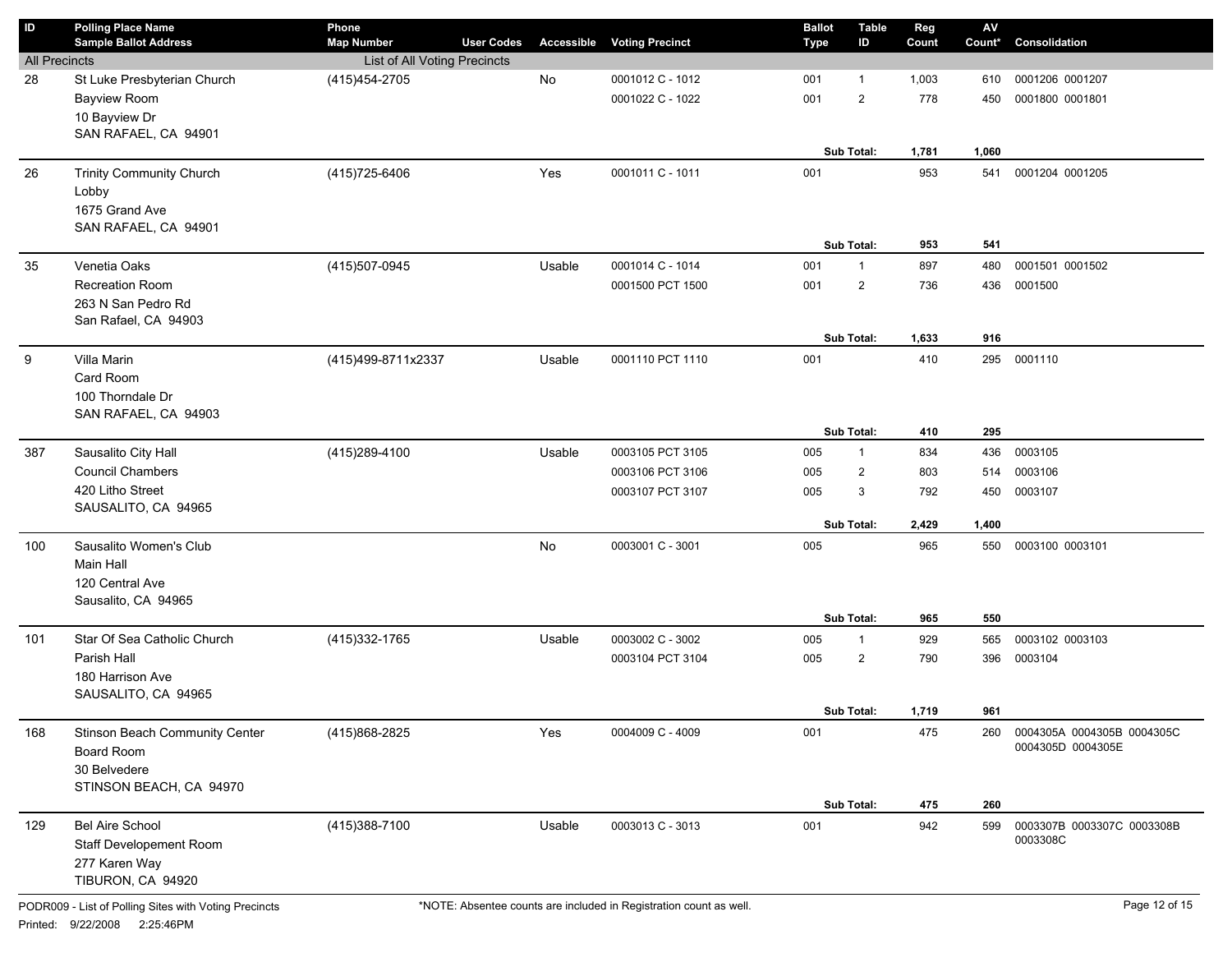| $\sf ID$             | <b>Polling Place Name</b><br><b>Sample Ballot Address</b> | Phone<br><b>Map Number</b>   | <b>User Codes</b> | Accessible | <b>Voting Precinct</b> | <b>Ballot</b><br>Type | <b>Table</b><br>ID | Reg<br>Count | $\mathsf{A}\mathsf{V}$<br>Count* | Consolidation                                   |
|----------------------|-----------------------------------------------------------|------------------------------|-------------------|------------|------------------------|-----------------------|--------------------|--------------|----------------------------------|-------------------------------------------------|
| <b>All Precincts</b> |                                                           | List of All Voting Precincts |                   |            |                        |                       |                    |              |                                  |                                                 |
| 28                   | St Luke Presbyterian Church                               | (415) 454-2705               |                   | No         | 0001012 C - 1012       | 001                   | $\mathbf{1}$       | 1,003        | 610                              | 0001206 0001207                                 |
|                      | <b>Bayview Room</b>                                       |                              |                   |            | 0001022 C - 1022       | 001                   | $\overline{2}$     | 778          | 450                              | 0001800 0001801                                 |
|                      | 10 Bayview Dr                                             |                              |                   |            |                        |                       |                    |              |                                  |                                                 |
|                      | SAN RAFAEL, CA 94901                                      |                              |                   |            |                        |                       |                    |              |                                  |                                                 |
|                      |                                                           |                              |                   |            |                        |                       | Sub Total:         | 1,781        | 1,060                            |                                                 |
| 26                   | <b>Trinity Community Church</b>                           | (415) 725-6406               |                   | Yes        | 0001011 C - 1011       | 001                   |                    | 953          | 541                              | 0001204 0001205                                 |
|                      | Lobby                                                     |                              |                   |            |                        |                       |                    |              |                                  |                                                 |
|                      | 1675 Grand Ave                                            |                              |                   |            |                        |                       |                    |              |                                  |                                                 |
|                      | SAN RAFAEL, CA 94901                                      |                              |                   |            |                        |                       |                    |              |                                  |                                                 |
|                      |                                                           |                              |                   |            |                        |                       | Sub Total:         | 953          | 541                              |                                                 |
| 35                   | Venetia Oaks                                              | (415) 507-0945               |                   | Usable     | 0001014 C - 1014       | 001                   | $\mathbf{1}$       | 897          | 480                              | 0001501 0001502                                 |
|                      | Recreation Room                                           |                              |                   |            | 0001500 PCT 1500       | 001                   | $\overline{2}$     | 736          | 436                              | 0001500                                         |
|                      | 263 N San Pedro Rd                                        |                              |                   |            |                        |                       |                    |              |                                  |                                                 |
|                      | San Rafael, CA 94903                                      |                              |                   |            |                        |                       |                    |              |                                  |                                                 |
|                      |                                                           |                              |                   |            |                        |                       | Sub Total:         | 1,633        | 916                              |                                                 |
| 9                    | Villa Marin                                               | (415)499-8711x2337           |                   | Usable     | 0001110 PCT 1110       | 001                   |                    | 410          | 295                              | 0001110                                         |
|                      | Card Room                                                 |                              |                   |            |                        |                       |                    |              |                                  |                                                 |
|                      | 100 Thorndale Dr                                          |                              |                   |            |                        |                       |                    |              |                                  |                                                 |
|                      | SAN RAFAEL, CA 94903                                      |                              |                   |            |                        |                       |                    |              |                                  |                                                 |
|                      |                                                           |                              |                   |            |                        |                       | Sub Total:         | 410          | 295                              |                                                 |
| 387                  | Sausalito City Hall                                       | (415) 289-4100               |                   | Usable     | 0003105 PCT 3105       | 005                   | $\mathbf{1}$       | 834          | 436                              | 0003105                                         |
|                      | <b>Council Chambers</b>                                   |                              |                   |            | 0003106 PCT 3106       | 005                   | $\overline{2}$     | 803          | 514                              | 0003106                                         |
|                      | 420 Litho Street                                          |                              |                   |            | 0003107 PCT 3107       | 005                   | 3                  | 792          | 450                              | 0003107                                         |
|                      | SAUSALITO, CA 94965                                       |                              |                   |            |                        |                       |                    |              |                                  |                                                 |
|                      |                                                           |                              |                   |            |                        |                       | Sub Total:         | 2,429        | 1,400                            |                                                 |
| 100                  | Sausalito Women's Club                                    |                              |                   | No         | 0003001 C - 3001       | 005                   |                    | 965          | 550                              | 0003100 0003101                                 |
|                      | Main Hall                                                 |                              |                   |            |                        |                       |                    |              |                                  |                                                 |
|                      | 120 Central Ave                                           |                              |                   |            |                        |                       |                    |              |                                  |                                                 |
|                      | Sausalito, CA 94965                                       |                              |                   |            |                        |                       |                    |              |                                  |                                                 |
|                      |                                                           |                              |                   |            |                        |                       | Sub Total:         | 965          | 550                              |                                                 |
| 101                  | Star Of Sea Catholic Church                               | (415) 332-1765               |                   | Usable     | 0003002 C - 3002       | 005                   | $\mathbf{1}$       | 929          | 565                              | 0003102 0003103                                 |
|                      | Parish Hall                                               |                              |                   |            | 0003104 PCT 3104       | 005                   | $\overline{2}$     | 790          | 396                              | 0003104                                         |
|                      | 180 Harrison Ave                                          |                              |                   |            |                        |                       |                    |              |                                  |                                                 |
|                      | SAUSALITO, CA 94965                                       |                              |                   |            |                        |                       | Sub Total:         | 1,719        | 961                              |                                                 |
|                      |                                                           |                              |                   |            |                        |                       |                    |              |                                  |                                                 |
| 168                  | Stinson Beach Community Center                            | (415)868-2825                |                   | Yes        | 0004009 C - 4009       | 001                   |                    | 475          | 260                              | 0004305A 0004305B 0004305C<br>0004305D 0004305E |
|                      | Board Room                                                |                              |                   |            |                        |                       |                    |              |                                  |                                                 |
|                      | 30 Belvedere<br>STINSON BEACH, CA 94970                   |                              |                   |            |                        |                       |                    |              |                                  |                                                 |
|                      |                                                           |                              |                   |            |                        |                       | Sub Total:         | 475          | 260                              |                                                 |
| 129                  | Bel Aire School                                           | (415)388-7100                |                   | Usable     | 0003013 C - 3013       | 001                   |                    | 942          | 599                              | 0003307B 0003307C 0003308B                      |
|                      | Staff Developement Room                                   |                              |                   |            |                        |                       |                    |              |                                  | 0003308C                                        |
|                      | 277 Karen Way                                             |                              |                   |            |                        |                       |                    |              |                                  |                                                 |
|                      | TIBURON, CA 94920                                         |                              |                   |            |                        |                       |                    |              |                                  |                                                 |
|                      |                                                           |                              |                   |            |                        |                       |                    |              |                                  |                                                 |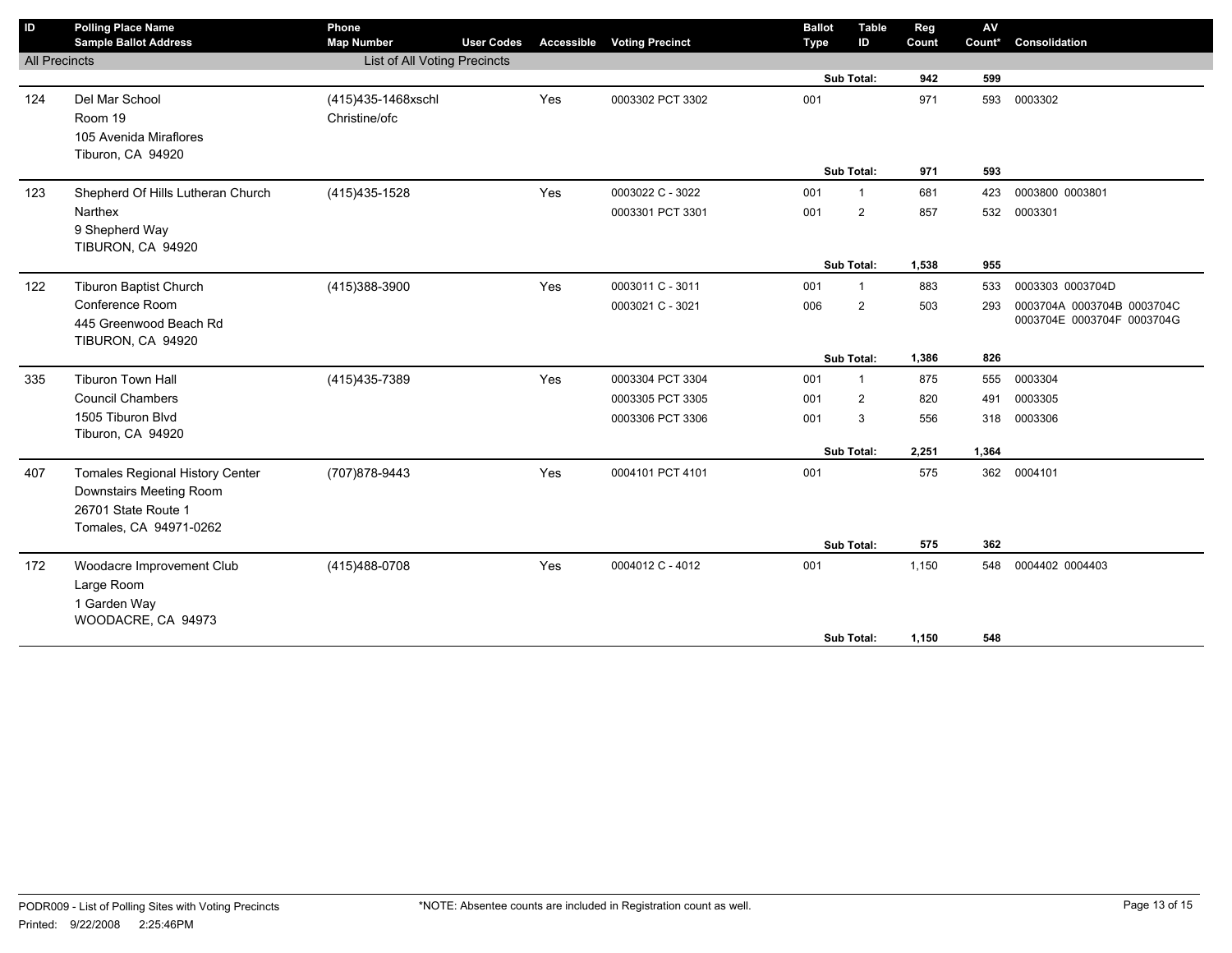| $\mathsf{ID}$        | <b>Polling Place Name</b>              | Phone              |                              |                   |                        |  | <b>Ballot</b> | <b>Table</b>   | Reg   | $\mathsf{AV}$ |                            |
|----------------------|----------------------------------------|--------------------|------------------------------|-------------------|------------------------|--|---------------|----------------|-------|---------------|----------------------------|
|                      | <b>Sample Ballot Address</b>           | <b>Map Number</b>  | <b>User Codes</b>            | <b>Accessible</b> | <b>Voting Precinct</b> |  | <b>Type</b>   | ID             | Count | Count*        | Consolidation              |
| <b>All Precincts</b> |                                        |                    | List of All Voting Precincts |                   |                        |  |               |                |       |               |                            |
|                      |                                        |                    |                              |                   |                        |  |               | Sub Total:     | 942   | 599           |                            |
| 124                  | Del Mar School                         | (415)435-1468xschl |                              | Yes               | 0003302 PCT 3302       |  | 001           |                | 971   | 593           | 0003302                    |
|                      | Room 19                                | Christine/ofc      |                              |                   |                        |  |               |                |       |               |                            |
|                      | 105 Avenida Miraflores                 |                    |                              |                   |                        |  |               |                |       |               |                            |
|                      | Tiburon, CA 94920                      |                    |                              |                   |                        |  |               |                |       |               |                            |
|                      |                                        |                    |                              |                   |                        |  |               | Sub Total:     | 971   | 593           |                            |
| 123                  | Shepherd Of Hills Lutheran Church      | (415) 435-1528     |                              | Yes               | 0003022 C - 3022       |  | 001           | $\overline{1}$ | 681   | 423           | 0003800 0003801            |
|                      | Narthex                                |                    |                              |                   | 0003301 PCT 3301       |  | 001           | $\overline{2}$ | 857   | 532           | 0003301                    |
|                      | 9 Shepherd Way                         |                    |                              |                   |                        |  |               |                |       |               |                            |
|                      | TIBURON, CA 94920                      |                    |                              |                   |                        |  |               |                |       |               |                            |
|                      |                                        |                    |                              |                   |                        |  | Sub Total:    |                | 1,538 | 955           |                            |
| 122                  | Tiburon Baptist Church                 | (415)388-3900      |                              | Yes               | 0003011 C - 3011       |  | 001           | $\overline{1}$ | 883   | 533           | 0003303 0003704D           |
|                      | Conference Room                        |                    |                              |                   | 0003021 C - 3021       |  | 006           | $\overline{2}$ | 503   | 293           | 0003704A 0003704B 0003704C |
|                      | 445 Greenwood Beach Rd                 |                    |                              |                   |                        |  |               |                |       |               | 0003704E 0003704F 0003704G |
|                      | TIBURON, CA 94920                      |                    |                              |                   |                        |  |               |                |       |               |                            |
|                      |                                        |                    |                              |                   |                        |  |               | Sub Total:     | 1,386 | 826           |                            |
| 335                  | <b>Tiburon Town Hall</b>               | (415) 435-7389     |                              | Yes               | 0003304 PCT 3304       |  | 001           | $\mathbf{1}$   | 875   | 555           | 0003304                    |
|                      | <b>Council Chambers</b>                |                    |                              |                   | 0003305 PCT 3305       |  | 001           | 2              | 820   | 491           | 0003305                    |
|                      | 1505 Tiburon Blvd                      |                    |                              |                   | 0003306 PCT 3306       |  | 001           | 3              | 556   | 318           | 0003306                    |
|                      | Tiburon, CA 94920                      |                    |                              |                   |                        |  |               |                |       |               |                            |
|                      |                                        |                    |                              |                   |                        |  |               | Sub Total:     | 2,251 | 1,364         |                            |
| 407                  | <b>Tomales Regional History Center</b> | (707) 878-9443     |                              | Yes               | 0004101 PCT 4101       |  | 001           |                | 575   | 362           | 0004101                    |
|                      | Downstairs Meeting Room                |                    |                              |                   |                        |  |               |                |       |               |                            |
|                      | 26701 State Route 1                    |                    |                              |                   |                        |  |               |                |       |               |                            |
|                      | Tomales, CA 94971-0262                 |                    |                              |                   |                        |  |               |                |       |               |                            |
|                      |                                        |                    |                              |                   |                        |  |               | Sub Total:     | 575   | 362           |                            |
| 172                  | Woodacre Improvement Club              | (415) 488-0708     |                              | Yes               | 0004012 C - 4012       |  | 001           |                | 1,150 | 548           | 0004402 0004403            |
|                      | Large Room                             |                    |                              |                   |                        |  |               |                |       |               |                            |
|                      | 1 Garden Way                           |                    |                              |                   |                        |  |               |                |       |               |                            |
|                      | WOODACRE, CA 94973                     |                    |                              |                   |                        |  |               |                |       |               |                            |
|                      |                                        |                    |                              |                   |                        |  |               | Sub Total:     | 1,150 | 548           |                            |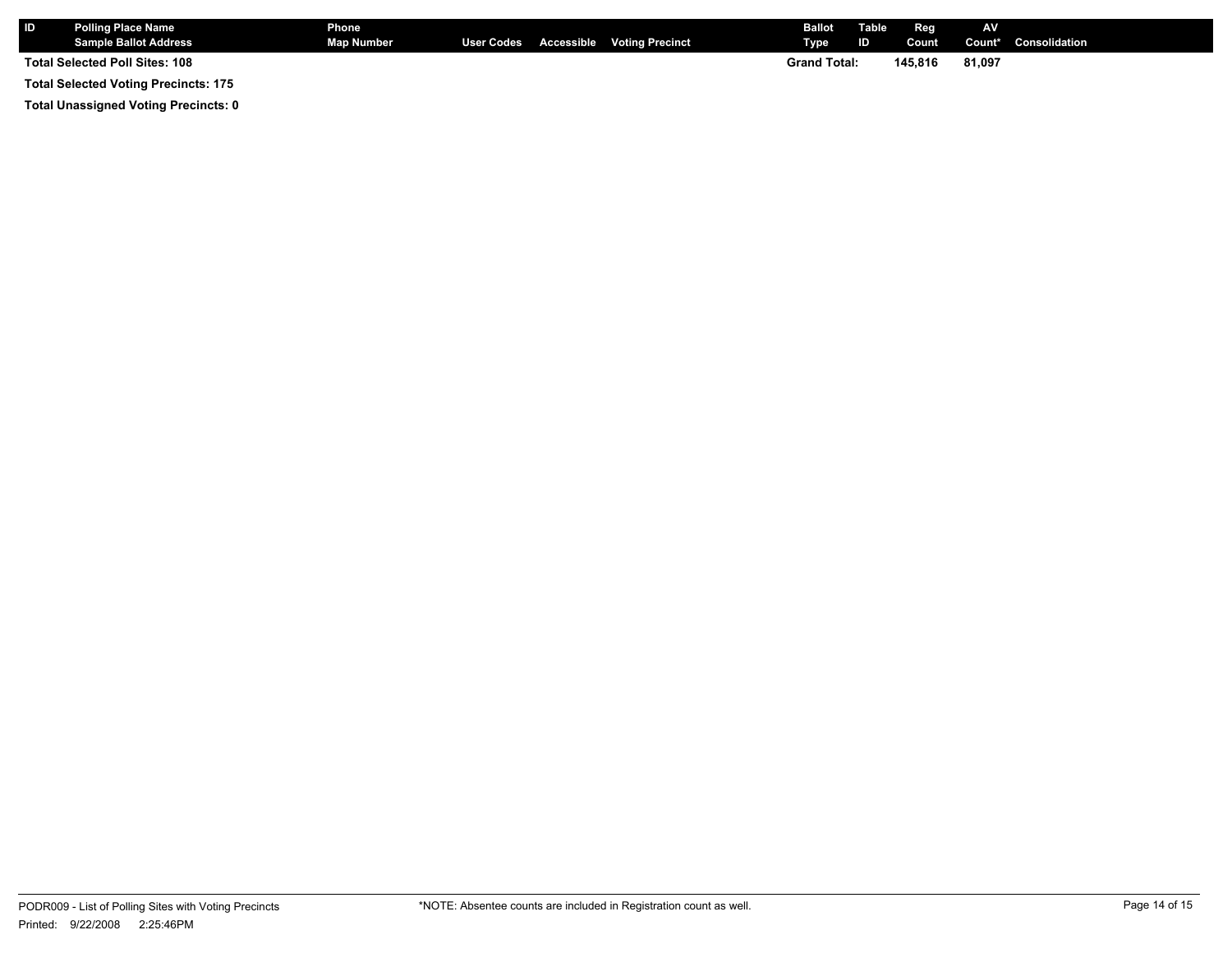| <b>IID</b> | <b>Polling Place Name</b><br><b>Sample Ballot Address</b> | Phone<br><b>Map Number</b> |  | User Codes Accessible Voting Precinct | <b>Ballot</b><br><b>Type</b> | Table<br><b>ID</b> | Reg<br>Count | AV     | <b>Count*</b> Consolidation |
|------------|-----------------------------------------------------------|----------------------------|--|---------------------------------------|------------------------------|--------------------|--------------|--------|-----------------------------|
|            | Total Selected Poll Sites: 108                            |                            |  |                                       | <b>Grand Total:</b>          |                    | 145.816      | 81.097 |                             |
|            | <b>Total Selected Voting Precincts: 175</b>               |                            |  |                                       |                              |                    |              |        |                             |

**Total Unassigned Voting Precincts: 0**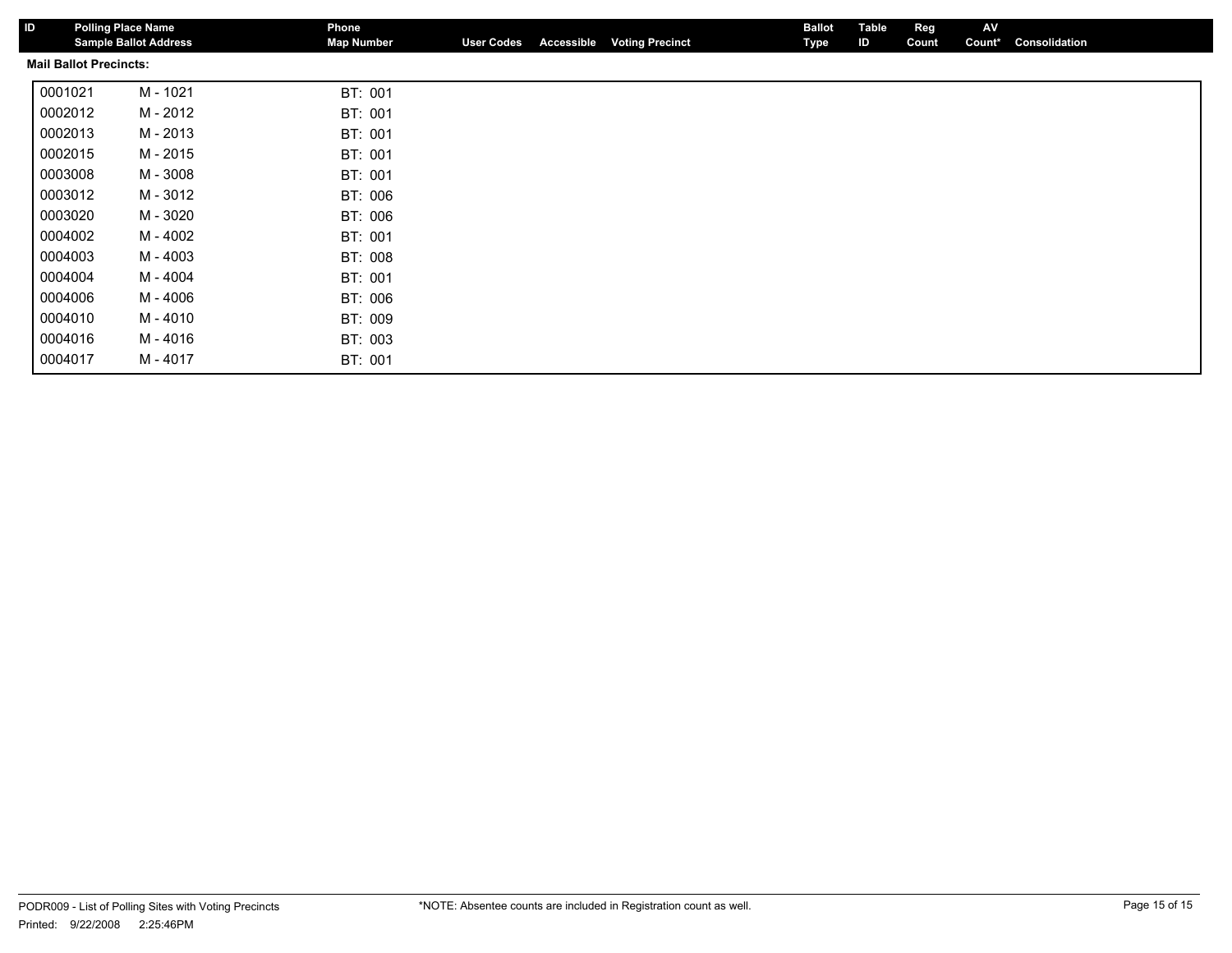| ID | <b>Polling Place Name</b>     | <b>Sample Ballot Address</b> | Phone<br><b>Map Number</b> | <b>User Codes</b> | Accessible | <b>Voting Precinct</b> | <b>Ballot</b><br>Type | Table<br>ID | Reg<br>Count | AV<br>Count* | Consolidation |
|----|-------------------------------|------------------------------|----------------------------|-------------------|------------|------------------------|-----------------------|-------------|--------------|--------------|---------------|
|    | <b>Mail Ballot Precincts:</b> |                              |                            |                   |            |                        |                       |             |              |              |               |
|    | 0001021                       | M - 1021                     | BT: 001                    |                   |            |                        |                       |             |              |              |               |
|    | 0002012                       | M - 2012                     | BT: 001                    |                   |            |                        |                       |             |              |              |               |
|    | 0002013                       | M - 2013                     | BT: 001                    |                   |            |                        |                       |             |              |              |               |
|    | 0002015                       | M - 2015                     | BT: 001                    |                   |            |                        |                       |             |              |              |               |
|    | 0003008                       | M - 3008                     | BT: 001                    |                   |            |                        |                       |             |              |              |               |
|    | 0003012                       | M - 3012                     | BT: 006                    |                   |            |                        |                       |             |              |              |               |
|    | 0003020                       | M - 3020                     | BT: 006                    |                   |            |                        |                       |             |              |              |               |
|    | 0004002                       | M - 4002                     | BT: 001                    |                   |            |                        |                       |             |              |              |               |
|    | 0004003                       | M - 4003                     | BT: 008                    |                   |            |                        |                       |             |              |              |               |
|    | 0004004                       | M - 4004                     | BT: 001                    |                   |            |                        |                       |             |              |              |               |
|    | 0004006                       | M - 4006                     | BT: 006                    |                   |            |                        |                       |             |              |              |               |
|    | 0004010                       | M - 4010                     | BT: 009                    |                   |            |                        |                       |             |              |              |               |
|    | 0004016                       | M - 4016                     | BT: 003                    |                   |            |                        |                       |             |              |              |               |
|    | 0004017                       | M - 4017                     | BT: 001                    |                   |            |                        |                       |             |              |              |               |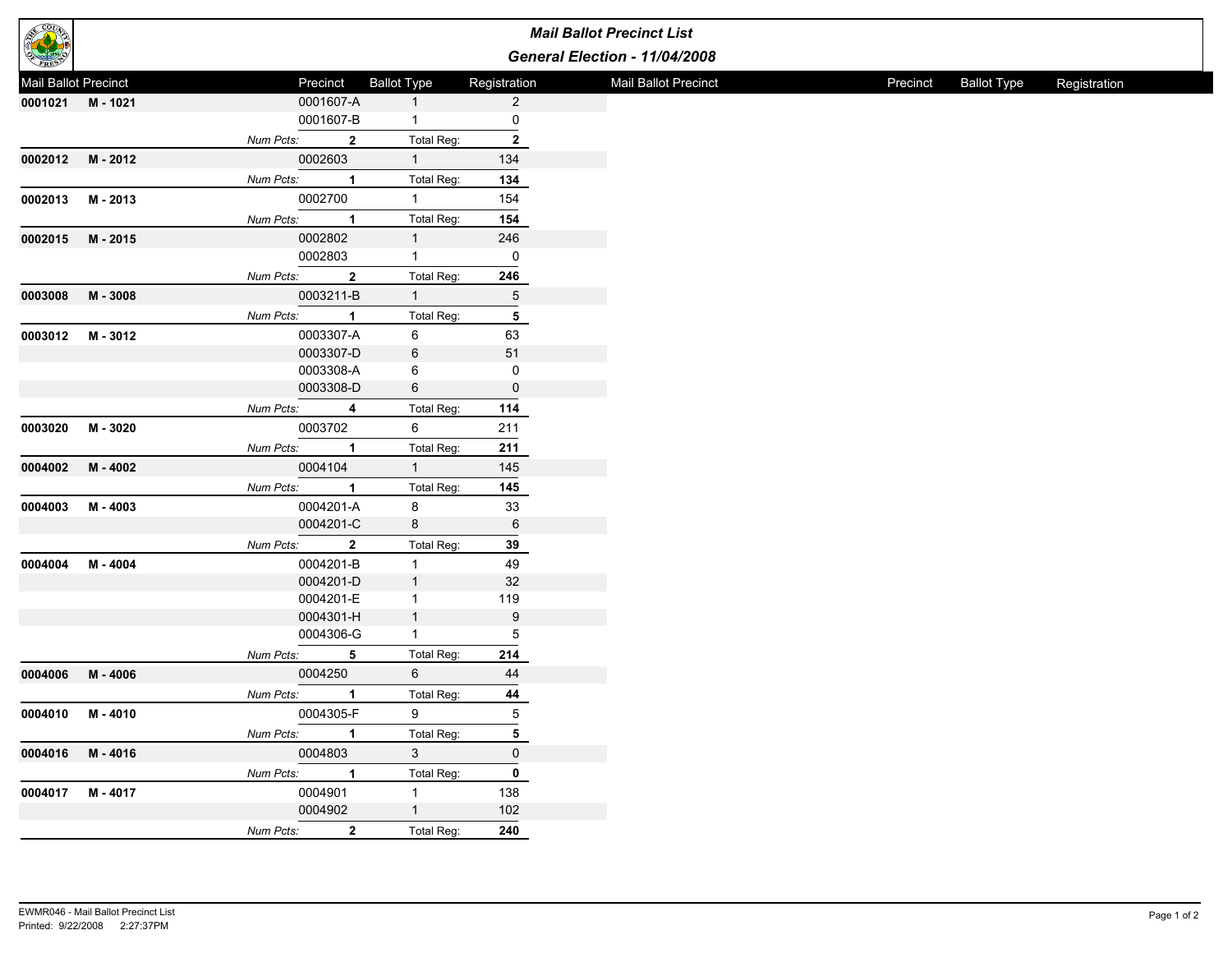|                      |          |                             |                    | <b>Mail Ballot Precinct List</b> |
|----------------------|----------|-----------------------------|--------------------|----------------------------------|
|                      |          |                             |                    | General Election - 11/04/2008    |
| Mail Ballot Precinct |          | Precinct                    | <b>Ballot Type</b> | Registration                     |
| 0001021 M-1021       |          | 0001607-A                   | $\mathbf{1}$       | $\overline{2}$                   |
|                      |          | 0001607-B                   | $\mathbf{1}$       | 0                                |
|                      |          | Num Pcts:<br>$\overline{2}$ | Total Reg:         | $\mathbf{2}$                     |
| 0002012              | M - 2012 | 0002603                     | 1                  | 134                              |
|                      |          | Num Pcts:<br>$\mathbf{1}$   | Total Reg:         | 134                              |
| 0002013              | M - 2013 | 0002700                     | 1                  | 154                              |
|                      |          | Num Pcts:<br>$\mathbf{1}$   | Total Reg:         | 154                              |
|                      |          | 0002802                     |                    |                                  |
| 0002015              | M - 2015 | 0002803                     | 1<br>1             | 246<br>0                         |
|                      |          |                             |                    |                                  |
|                      |          | Num Pcts:<br>$\overline{2}$ | Total Reg:         | 246                              |
| 0003008              | M - 3008 | 0003211-B                   | 1                  | 5                                |
|                      |          | Num Pcts:<br>$\overline{1}$ | Total Reg:         | 5                                |
| 0003012              | M - 3012 | 0003307-A                   | 6                  | 63                               |
|                      |          | 0003307-D                   | 6                  | 51                               |
|                      |          | 0003308-A                   | 6                  | 0                                |
|                      |          | 0003308-D                   | 6                  | $\mathbf 0$                      |
|                      |          | Num Pcts:<br>$\overline{4}$ | Total Reg:         | 114                              |
| 0003020              | M - 3020 | 0003702                     | 6                  | 211                              |
|                      |          | Num Pcts:<br>$\overline{1}$ | Total Reg:         | 211                              |
| 0004002              | M - 4002 | 0004104                     | 1                  | 145                              |
|                      |          | Num Pcts:<br>$\overline{1}$ | Total Reg:         | 145                              |
| 0004003              | M - 4003 | 0004201-A                   | 8                  | 33                               |
|                      |          | 0004201-C                   | 8                  | $\,6\,$                          |
|                      |          |                             |                    | 39                               |
|                      |          | Num Pcts:<br>$\overline{2}$ | Total Reg:         |                                  |
| 0004004              | M - 4004 | 0004201-B                   | $\mathbf{1}$       | 49                               |
|                      |          | 0004201-D                   | $\mathbf{1}$       | 32                               |
|                      |          | 0004201-E                   | $\mathbf{1}$       | 119                              |
|                      |          | 0004301-H                   | 1                  | $\boldsymbol{9}$                 |
|                      |          | 0004306-G                   | $\mathbf{1}$       | 5                                |
|                      |          | Num Pcts:<br>5              | Total Reg:         | 214                              |
| 0004006              | M-4006   | 0004250                     | 6                  | 44                               |
|                      |          | Num Pcts:<br>$\mathbf{1}$   | Total Reg:         | 44                               |
| 0004010 M-4010       |          | 0004305-F                   | $9^{\circ}$        | 5                                |
|                      |          | Num Pcts: 1                 | Total Reg:         | 5                                |
| 0004016 M-4016       |          | 0004803                     | $3 \qquad \qquad$  | $\mathbf 0$                      |
|                      |          | Num Pcts: 1                 | Total Reg:         | $\pmb{0}$                        |
| 0004017 M-4017       |          | 0004901                     | $1 -$              | 138                              |
|                      |          | 0004902                     | $1 \qquad \qquad$  | 102                              |
|                      |          | Num Pcts: 2                 | Total Reg:         | 240                              |
|                      |          |                             |                    |                                  |